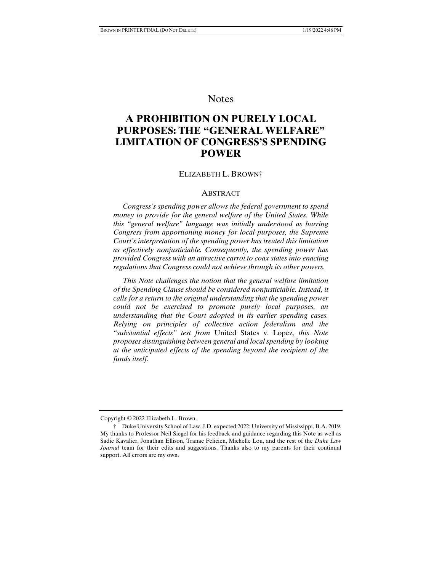# **Notes**

# **A PROHIBITION ON PURELY LOCAL PURPOSES: THE "GENERAL WELFARE" LIMITATION OF CONGRESS'S SPENDING POWER**

#### ELIZABETH L. BROWN†

### ABSTRACT

 *Congress's spending power allows the federal government to spend money to provide for the general welfare of the United States. While this "general welfare" language was initially understood as barring Congress from apportioning money for local purposes, the Supreme Court's interpretation of the spending power has treated this limitation as effectively nonjusticiable. Consequently, the spending power has provided Congress with an attractive carrot to coax states into enacting regulations that Congress could not achieve through its other powers.* 

 *This Note challenges the notion that the general welfare limitation of the Spending Clause should be considered nonjusticiable. Instead, it calls for a return to the original understanding that the spending power could not be exercised to promote purely local purposes, an understanding that the Court adopted in its earlier spending cases. Relying on principles of collective action federalism and the "substantial effects" test from* United States v. Lopez*, this Note proposes distinguishing between general and local spending by looking at the anticipated effects of the spending beyond the recipient of the funds itself.* 

Copyright © 2022 Elizabeth L. Brown.

 <sup>†</sup> Duke University School of Law, J.D. expected 2022; University of Mississippi, B.A. 2019. My thanks to Professor Neil Siegel for his feedback and guidance regarding this Note as well as Sadie Kavalier, Jonathan Ellison, Tranae Felicien, Michelle Lou, and the rest of the *Duke Law Journal* team for their edits and suggestions. Thanks also to my parents for their continual support. All errors are my own.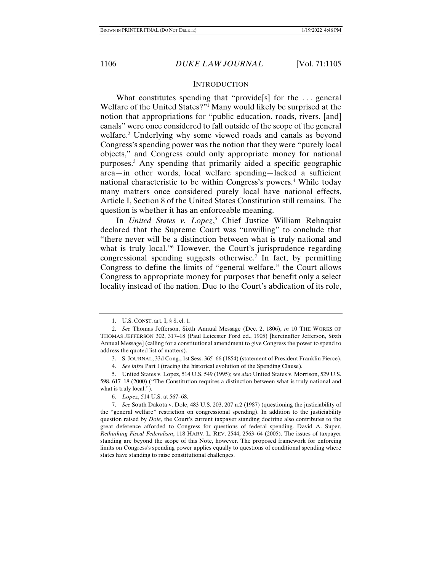#### **INTRODUCTION**

What constitutes spending that "provide<sup>[s]</sup> for the ... general Welfare of the United States?"1 Many would likely be surprised at the notion that appropriations for "public education, roads, rivers, [and] canals" were once considered to fall outside of the scope of the general welfare.2 Underlying why some viewed roads and canals as beyond Congress's spending power was the notion that they were "purely local objects," and Congress could only appropriate money for national purposes.3 Any spending that primarily aided a specific geographic area—in other words, local welfare spending—lacked a sufficient national characteristic to be within Congress's powers.<sup>4</sup> While today many matters once considered purely local have national effects, Article I, Section 8 of the United States Constitution still remains. The question is whether it has an enforceable meaning.

In *United States v. Lopez*, 5 Chief Justice William Rehnquist declared that the Supreme Court was "unwilling" to conclude that "there never will be a distinction between what is truly national and what is truly local."6 However, the Court's jurisprudence regarding congressional spending suggests otherwise.7 In fact, by permitting Congress to define the limits of "general welfare," the Court allows Congress to appropriate money for purposes that benefit only a select locality instead of the nation. Due to the Court's abdication of its role,

4. *See infra* Part I (tracing the historical evolution of the Spending Clause).

 <sup>1.</sup> U.S. CONST. art. I, § 8, cl. 1.

 <sup>2.</sup> *See* Thomas Jefferson, Sixth Annual Message (Dec. 2, 1806), *in* 10 THE WORKS OF THOMAS JEFFERSON 302, 317–18 (Paul Leicester Ford ed., 1905) [hereinafter Jefferson, Sixth Annual Message] (calling for a constitutional amendment to give Congress the power to spend to address the quoted list of matters).

 <sup>3.</sup> S. JOURNAL, 33d Cong., 1st Sess. 365–66 (1854) (statement of President Franklin Pierce).

 <sup>5.</sup> United States v. Lopez, 514 U.S. 549 (1995); *see also* United States v. Morrison, 529 U.S. 598, 617–18 (2000) ("The Constitution requires a distinction between what is truly national and what is truly local.").

 <sup>6.</sup> *Lopez*, 514 U.S. at 567–68.

 <sup>7.</sup> *See* South Dakota v. Dole, 483 U.S. 203, 207 n.2 (1987) (questioning the justiciability of the "general welfare" restriction on congressional spending). In addition to the justiciability question raised by *Dole*, the Court's current taxpayer standing doctrine also contributes to the great deference afforded to Congress for questions of federal spending. David A. Super, *Rethinking Fiscal Federalism*, 118 HARV. L. REV. 2544, 2563–64 (2005). The issues of taxpayer standing are beyond the scope of this Note, however. The proposed framework for enforcing limits on Congress's spending power applies equally to questions of conditional spending where states have standing to raise constitutional challenges.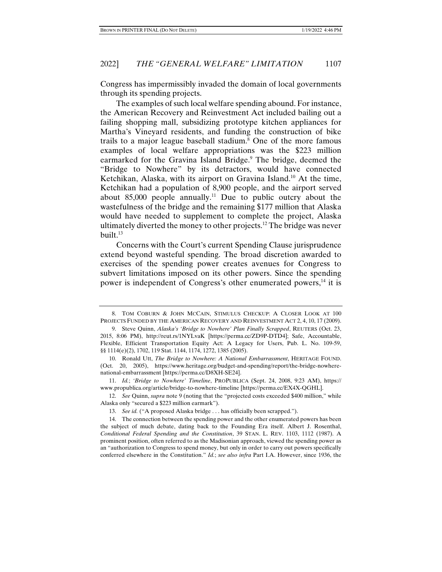Congress has impermissibly invaded the domain of local governments through its spending projects.

The examples of such local welfare spending abound. For instance, the American Recovery and Reinvestment Act included bailing out a failing shopping mall, subsidizing prototype kitchen appliances for Martha's Vineyard residents, and funding the construction of bike trails to a major league baseball stadium.<sup>8</sup> One of the more famous examples of local welfare appropriations was the \$223 million earmarked for the Gravina Island Bridge.<sup>9</sup> The bridge, deemed the "Bridge to Nowhere" by its detractors, would have connected Ketchikan, Alaska, with its airport on Gravina Island.<sup>10</sup> At the time, Ketchikan had a population of 8,900 people, and the airport served about  $85,000$  people annually.<sup>11</sup> Due to public outcry about the wastefulness of the bridge and the remaining \$177 million that Alaska would have needed to supplement to complete the project, Alaska ultimately diverted the money to other projects.12 The bridge was never built.13

Concerns with the Court's current Spending Clause jurisprudence extend beyond wasteful spending. The broad discretion awarded to exercises of the spending power creates avenues for Congress to subvert limitations imposed on its other powers. Since the spending power is independent of Congress's other enumerated powers,<sup>14</sup> it is

 <sup>8.</sup> TOM COBURN & JOHN MCCAIN, STIMULUS CHECKUP: A CLOSER LOOK AT 100 PROJECTS FUNDED BY THE AMERICAN RECOVERY AND REINVESTMENT ACT 2, 4, 10, 17 (2009).

 <sup>9.</sup> Steve Quinn, *Alaska's 'Bridge to Nowhere' Plan Finally Scrapped*, REUTERS (Oct. 23, 2015, 8:06 PM), http://reut.rs/1NYLvaK [https://perma.cc/ZD9P-DTD4]; Safe, Accountable, Flexible, Efficient Transportation Equity Act: A Legacy for Users, Pub. L. No. 109-59, §§ 1114(e)(2), 1702, 119 Stat. 1144, 1174, 1272, 1385 (2005).

 <sup>10.</sup> Ronald Utt, *The Bridge to Nowhere: A National Embarrassment*, HERITAGE FOUND. (Oct. 20, 2005), https://www.heritage.org/budget-and-spending/report/the-bridge-nowherenational-embarrassment [https://perma.cc/D8XH-SE24].

 <sup>11.</sup> *Id.*; *'Bridge to Nowhere' Timeline*, PROPUBLICA (Sept. 24, 2008, 9:23 AM), https:// www.propublica.org/article/bridge-to-nowhere-timeline [https://perma.cc/EX4X-QGHL].

 <sup>12.</sup> *See* Quinn, *supra* note 9 (noting that the "projected costs exceeded \$400 million," while Alaska only "secured a \$223 million earmark").

 <sup>13.</sup> *See id.* ("A proposed Alaska bridge . . . has officially been scrapped.").

 <sup>14.</sup> The connection between the spending power and the other enumerated powers has been the subject of much debate, dating back to the Founding Era itself. Albert J. Rosenthal, *Conditional Federal Spending and the Constitution*, 39 STAN. L. REV. 1103, 1112 (1987). A prominent position, often referred to as the Madisonian approach, viewed the spending power as an "authorization to Congress to spend money, but only in order to carry out powers specifically conferred elsewhere in the Constitution." *Id.*; *see also infra* Part I.A. However, since 1936, the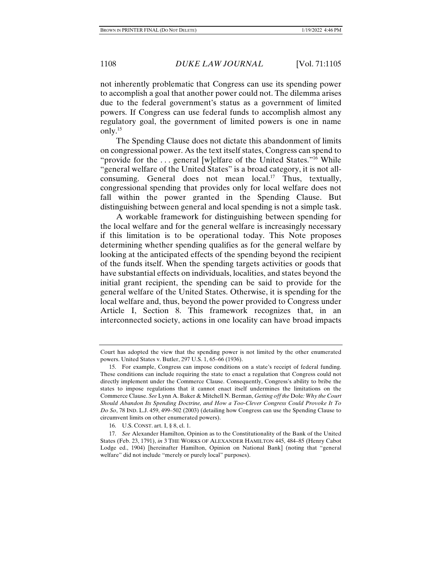not inherently problematic that Congress can use its spending power to accomplish a goal that another power could not. The dilemma arises due to the federal government's status as a government of limited powers. If Congress can use federal funds to accomplish almost any regulatory goal, the government of limited powers is one in name only.15

The Spending Clause does not dictate this abandonment of limits on congressional power. As the text itself states, Congress can spend to "provide for the ... general [w]elfare of the United States."<sup>16</sup> While "general welfare of the United States" is a broad category, it is not allconsuming. General does not mean  $local.^{17}$  Thus, textually, congressional spending that provides only for local welfare does not fall within the power granted in the Spending Clause. But distinguishing between general and local spending is not a simple task.

A workable framework for distinguishing between spending for the local welfare and for the general welfare is increasingly necessary if this limitation is to be operational today. This Note proposes determining whether spending qualifies as for the general welfare by looking at the anticipated effects of the spending beyond the recipient of the funds itself. When the spending targets activities or goods that have substantial effects on individuals, localities, and states beyond the initial grant recipient, the spending can be said to provide for the general welfare of the United States. Otherwise, it is spending for the local welfare and, thus, beyond the power provided to Congress under Article I, Section 8. This framework recognizes that, in an interconnected society, actions in one locality can have broad impacts

Court has adopted the view that the spending power is not limited by the other enumerated powers. United States v. Butler, 297 U.S. 1, 65–66 (1936).

 <sup>15.</sup> For example, Congress can impose conditions on a state's receipt of federal funding. These conditions can include requiring the state to enact a regulation that Congress could not directly implement under the Commerce Clause. Consequently, Congress's ability to bribe the states to impose regulations that it cannot enact itself undermines the limitations on the Commerce Clause. *See* Lynn A. Baker & Mitchell N. Berman, *Getting off the* Dole*: Why the Court Should Abandon Its Spending Doctrine, and How a Too-Clever Congress Could Provoke It To Do So*, 78 IND. L.J. 459, 499–502 (2003) (detailing how Congress can use the Spending Clause to circumvent limits on other enumerated powers).

 <sup>16.</sup> U.S. CONST. art. I, § 8, cl. 1.

 <sup>17.</sup> *See* Alexander Hamilton, Opinion as to the Constitutionality of the Bank of the United States (Feb. 23, 1791), *in* 3 THE WORKS OF ALEXANDER HAMILTON 445, 484–85 (Henry Cabot Lodge ed., 1904) [hereinafter Hamilton, Opinion on National Bank] (noting that "general welfare" did not include "merely or purely local" purposes).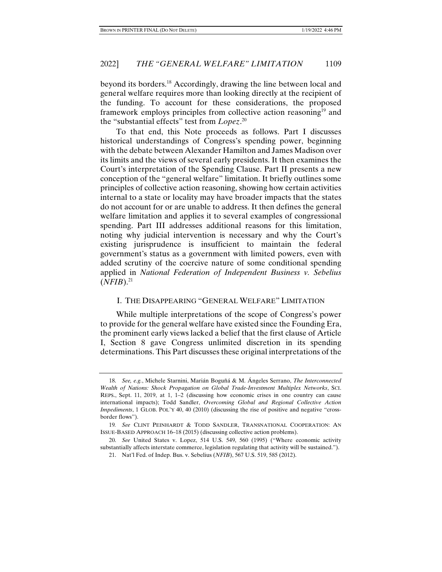beyond its borders.18 Accordingly, drawing the line between local and general welfare requires more than looking directly at the recipient of the funding. To account for these considerations, the proposed framework employs principles from collective action reasoning<sup>19</sup> and the "substantial effects" test from *Lopez*. 20

To that end, this Note proceeds as follows. Part I discusses historical understandings of Congress's spending power, beginning with the debate between Alexander Hamilton and James Madison over its limits and the views of several early presidents. It then examines the Court's interpretation of the Spending Clause. Part II presents a new conception of the "general welfare" limitation. It briefly outlines some principles of collective action reasoning, showing how certain activities internal to a state or locality may have broader impacts that the states do not account for or are unable to address. It then defines the general welfare limitation and applies it to several examples of congressional spending. Part III addresses additional reasons for this limitation, noting why judicial intervention is necessary and why the Court's existing jurisprudence is insufficient to maintain the federal government's status as a government with limited powers, even with added scrutiny of the coercive nature of some conditional spending applied in *National Federation of Independent Business v. Sebelius*   $(NFIB).^{21}$ 

## I. THE DISAPPEARING "GENERAL WELFARE" LIMITATION

While multiple interpretations of the scope of Congress's power to provide for the general welfare have existed since the Founding Era, the prominent early views lacked a belief that the first clause of Article I, Section 8 gave Congress unlimited discretion in its spending determinations. This Part discusses these original interpretations of the

 <sup>18.</sup> *See, e.g.*, Michele Starnini, Marián Boguñá & M. Ángeles Serrano, *The Interconnected Wealth of Nations: Shock Propagation on Global Trade-Investment Multiplex Networks*, SCI. REPS., Sept. 11, 2019, at 1, 1–2 (discussing how economic crises in one country can cause international impacts); Todd Sandler, *Overcoming Global and Regional Collective Action Impediments*, 1 GLOB. POL'Y 40, 40 (2010) (discussing the rise of positive and negative "crossborder flows").

<sup>19</sup>*. See* CLINT PEINHARDT & TODD SANDLER, TRANSNATIONAL COOPERATION: AN ISSUE-BASED APPROACH 16–18 (2015) (discussing collective action problems).

 <sup>20.</sup> *See* United States v. Lopez, 514 U.S. 549, 560 (1995) ("Where economic activity substantially affects interstate commerce, legislation regulating that activity will be sustained.").

 <sup>21.</sup> Nat'l Fed. of Indep. Bus. v. Sebelius (*NFIB*), 567 U.S. 519, 585 (2012).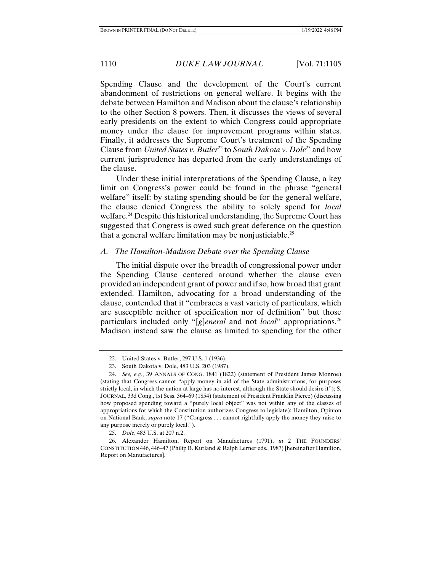Spending Clause and the development of the Court's current abandonment of restrictions on general welfare. It begins with the debate between Hamilton and Madison about the clause's relationship to the other Section 8 powers. Then, it discusses the views of several early presidents on the extent to which Congress could appropriate money under the clause for improvement programs within states. Finally, it addresses the Supreme Court's treatment of the Spending Clause from *United States v. Butler*<sup>22</sup> to *South Dakota v. Dole*<sup>23</sup> and how current jurisprudence has departed from the early understandings of the clause.

Under these initial interpretations of the Spending Clause, a key limit on Congress's power could be found in the phrase "general welfare" itself: by stating spending should be for the general welfare, the clause denied Congress the ability to solely spend for *local*  welfare.<sup>24</sup> Despite this historical understanding, the Supreme Court has suggested that Congress is owed such great deference on the question that a general welfare limitation may be nonjusticiable.25

#### *A. The Hamilton-Madison Debate over the Spending Clause*

The initial dispute over the breadth of congressional power under the Spending Clause centered around whether the clause even provided an independent grant of power and if so, how broad that grant extended. Hamilton, advocating for a broad understanding of the clause, contended that it "embraces a vast variety of particulars, which are susceptible neither of specification nor of definition" but those particulars included only "[*g*]*eneral* and not *local*" appropriations.26 Madison instead saw the clause as limited to spending for the other

25. *Dole*, 483 U.S. at 207 n.2.

 <sup>22.</sup> United States v. Butler, 297 U.S. 1 (1936).

 <sup>23.</sup> South Dakota v. Dole, 483 U.S. 203 (1987).

 <sup>24.</sup> *See, e.g.*, 39 ANNALS OF CONG. 1841 (1822) (statement of President James Monroe) (stating that Congress cannot "apply money in aid of the State administrations, for purposes strictly local, in which the nation at large has no interest, although the State should desire it"); S. JOURNAL, 33d Cong., 1st Sess. 364–69 (1854) (statement of President Franklin Pierce) (discussing how proposed spending toward a "purely local object" was not within any of the classes of appropriations for which the Constitution authorizes Congress to legislate); Hamilton, Opinion on National Bank, *supra* note 17 ("Congress . . . cannot rightfully apply the money they raise to any purpose merely or purely local.").

 <sup>26.</sup> Alexander Hamilton, Report on Manufactures (1791), *in* 2 THE FOUNDERS' CONSTITUTION 446, 446–47 (Philip B. Kurland & Ralph Lerner eds., 1987) [hereinafter Hamilton, Report on Manufactures].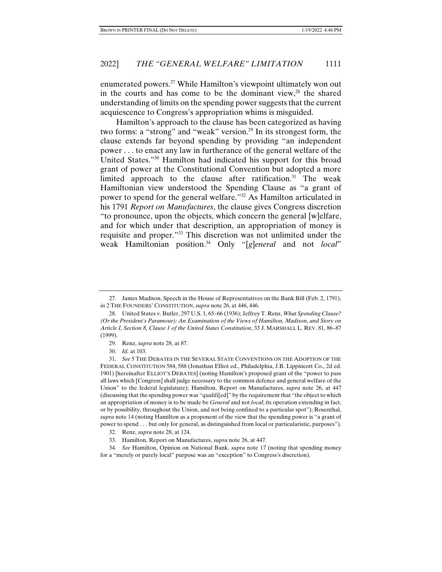enumerated powers.27 While Hamilton's viewpoint ultimately won out in the courts and has come to be the dominant view, $28$  the shared understanding of limits on the spending power suggests that the current acquiescence to Congress's appropriation whims is misguided.

Hamilton's approach to the clause has been categorized as having two forms: a "strong" and "weak" version.<sup>29</sup> In its strongest form, the clause extends far beyond spending by providing "an independent power . . . to enact any law in furtherance of the general welfare of the United States."30 Hamilton had indicated his support for this broad grant of power at the Constitutional Convention but adopted a more limited approach to the clause after ratification.<sup>31</sup> The weak Hamiltonian view understood the Spending Clause as "a grant of power to spend for the general welfare."32 As Hamilton articulated in his 1791 *Report on Manufactures*, the clause gives Congress discretion "to pronounce, upon the objects, which concern the general [w]elfare, and for which under that description, an appropriation of money is requisite and proper."33 This discretion was not unlimited under the weak Hamiltonian position.34 Only "[*g*]*eneral* and not *local*"

 <sup>27.</sup> James Madison, Speech in the House of Representatives on the Bank Bill (Feb. 2, 1791), *in* 2 THE FOUNDERS' CONSTITUTION, *supra* note 26, at 446, 446.

 <sup>28.</sup> United States v. Butler, 297 U.S. 1, 65–66 (1936); Jeffrey T. Renz, *What Spending Clause? (Or the President's Paramour): An Examination of the Views of Hamilton, Madison, and Story on Article I, Section 8, Clause 1 of the United States Constitution*, 33 J. MARSHALL L. REV. 81, 86–87 (1999).

 <sup>29.</sup> Renz, *supra* note 28, at 87.

 <sup>30.</sup> *Id.* at 103.

 <sup>31.</sup> *See* 5 THE DEBATES IN THE SEVERAL STATE CONVENTIONS ON THE ADOPTION OF THE FEDERAL CONSTITUTION 584, 588 (Jonathan Elliot ed., Philadelphia, J.B. Lippincott Co., 2d ed. 1901) [hereinafter ELLIOT'S DEBATES] (noting Hamilton's proposed grant of the "power to pass all laws which [Congress] shall judge necessary to the common defence and general welfare of the Union" to the federal legislature); Hamilton, Report on Manufactures, *supra* note 26, at 447 (discussing that the spending power was "qualifi[ed]" by the requirement that "the object to which an appropriation of money is to be made be *General* and not *local*; its operation extending in fact, or by possibility, throughout the Union, and not being confined to a particular spot"); Rosenthal, *supra* note 14 (noting Hamilton as a proponent of the view that the spending power is "a grant of power to spend . . . but only for general, as distinguished from local or particularistic, purposes").

 <sup>32.</sup> Renz, *supra* note 28, at 124.

 <sup>33.</sup> Hamilton, Report on Manufactures, *supra* note 26, at 447.

 <sup>34.</sup> *See* Hamilton, Opinion on National Bank, *supra* note 17 (noting that spending money for a "merely or purely local" purpose was an "exception" to Congress's discretion).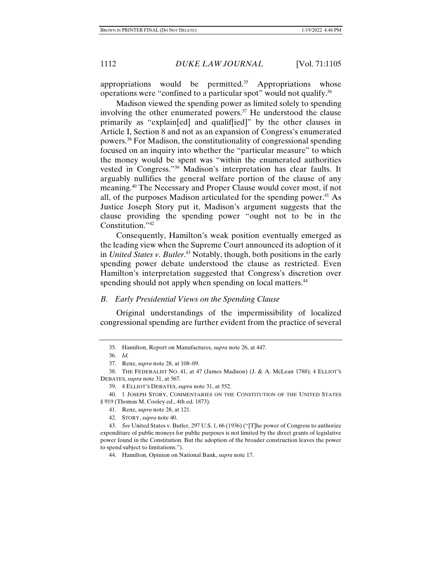appropriations would be permitted.<sup>35</sup> Appropriations whose operations were "confined to a particular spot" would not qualify.36

Madison viewed the spending power as limited solely to spending involving the other enumerated powers.<sup>37</sup> He understood the clause primarily as "explain[ed] and qualif[ied]" by the other clauses in Article I, Section 8 and not as an expansion of Congress's enumerated powers.38 For Madison, the constitutionality of congressional spending focused on an inquiry into whether the "particular measure" to which the money would be spent was "within the enumerated authorities vested in Congress."39 Madison's interpretation has clear faults. It arguably nullifies the general welfare portion of the clause of any meaning.40 The Necessary and Proper Clause would cover most, if not all, of the purposes Madison articulated for the spending power.<sup>41</sup> As Justice Joseph Story put it, Madison's argument suggests that the clause providing the spending power "ought not to be in the Constitution."42

Consequently, Hamilton's weak position eventually emerged as the leading view when the Supreme Court announced its adoption of it in *United States v. Butler*. 43 Notably, though, both positions in the early spending power debate understood the clause as restricted. Even Hamilton's interpretation suggested that Congress's discretion over spending should not apply when spending on local matters.<sup>44</sup>

### *B. Early Presidential Views on the Spending Clause*

Original understandings of the impermissibility of localized congressional spending are further evident from the practice of several

 <sup>35.</sup> Hamilton, Report on Manufactures, *supra* note 26, at 447.

 <sup>36.</sup> *Id.*

 <sup>37.</sup> Renz, *supra* note 28, at 108–09.

 <sup>38.</sup> THE FEDERALIST NO. 41, at 47 (James Madison) (J. & A. McLean 1788); 4 ELLIOT'S DEBATES, *supra* note 31, at 567.

 <sup>39. 4</sup> ELLIOT'S DEBATES, *supra* note 31, at 552.

 <sup>40. 1</sup> JOSEPH STORY, COMMENTARIES ON THE CONSTITUTION OF THE UNITED STATES § 919 (Thomas M. Cooley ed., 4th ed. 1873).

 <sup>41.</sup> Renz, *supra* note 28, at 121.

 <sup>42.</sup> STORY, *supra* note 40.

 <sup>43.</sup> *See* United States v. Butler, 297 U.S. 1, 66 (1936) ("[T]he power of Congress to authorize expenditure of public moneys for public purposes is not limited by the direct grants of legislative power found in the Constitution. But the adoption of the broader construction leaves the power to spend subject to limitations.").

 <sup>44.</sup> Hamilton, Opinion on National Bank, *supra* note 17.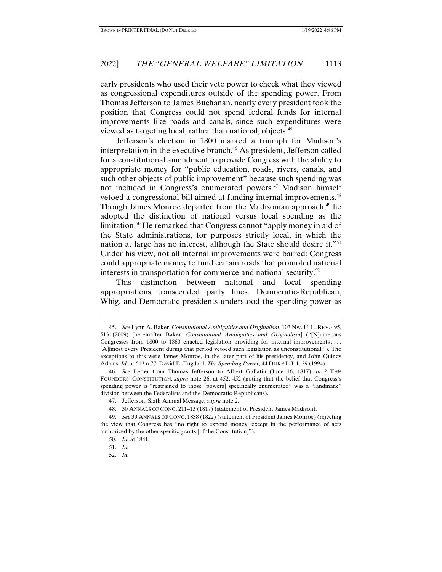early presidents who used their veto power to check what they viewed as congressional expenditures outside of the spending power. From Thomas Jefferson to James Buchanan, nearly every president took the position that Congress could not spend federal funds for internal improvements like roads and canals, since such expenditures were viewed as targeting local, rather than national, objects.45

Jefferson's election in 1800 marked a triumph for Madison's interpretation in the executive branch.<sup>46</sup> As president, Jefferson called for a constitutional amendment to provide Congress with the ability to appropriate money for "public education, roads, rivers, canals, and such other objects of public improvement" because such spending was not included in Congress's enumerated powers.<sup>47</sup> Madison himself vetoed a congressional bill aimed at funding internal improvements.<sup>48</sup> Though James Monroe departed from the Madisonian approach,<sup>49</sup> he adopted the distinction of national versus local spending as the limitation.<sup>50</sup> He remarked that Congress cannot "apply money in aid of the State administrations, for purposes strictly local, in which the nation at large has no interest, although the State should desire it."<sup>51</sup> Under his view, not all internal improvements were barred: Congress could appropriate money to fund certain roads that promoted national interests in transportation for commerce and national security. $52$ 

This distinction between national and local spending appropriations transcended party lines. Democratic-Republican, Whig, and Democratic presidents understood the spending power as

 <sup>45.</sup> *See* Lynn A. Baker, *Constitutional Ambiguities and Originalism*, 103 NW. U. L. REV. 495, 513 (2009) [hereinafter Baker, *Constitutional Ambiguities and Originalism*] ("[N]umerous Congresses from 1800 to 1860 enacted legislation providing for internal improvements . . . . [A]lmost every President during that period vetoed such legislation as unconstitutional."). The exceptions to this were James Monroe, in the later part of his presidency, and John Quincy Adams. *Id.* at 513 n.77; David E. Engdahl, *The Spending Power*, 44 DUKE L.J. 1, 29 (1994).

 <sup>46.</sup> *See* Letter from Thomas Jefferson to Albert Gallatin (June 16, 1817), *in* 2 THE FOUNDERS' CONSTITUTION, *supra* note 26, at 452, 452 (noting that the belief that Congress's spending power is "restrained to those [powers] specifically enumerated" was a "landmark" division between the Federalists and the Democratic-Republicans).

 <sup>47.</sup> Jefferson, Sixth Annual Message, *supra* note 2.

 <sup>48. 30</sup> ANNALS OF CONG. 211–13 (1817) (statement of President James Madison).

 <sup>49.</sup> *See* 39 ANNALS OF CONG. 1838 (1822) (statement of President James Monroe) (rejecting the view that Congress has "no right to expend money, except in the performance of acts authorized by the other specific grants [of the Constitution]").

 <sup>50.</sup> *Id.* at 1841.

 <sup>51.</sup> *Id.*

 <sup>52.</sup> *Id.*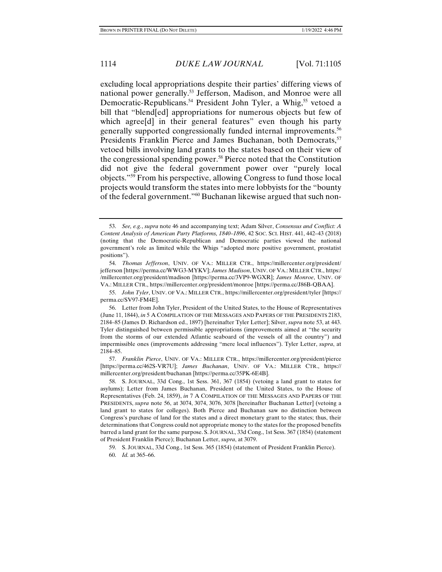excluding local appropriations despite their parties' differing views of national power generally.53 Jefferson, Madison, and Monroe were all Democratic-Republicans.<sup>54</sup> President John Tyler, a Whig,<sup>55</sup> vetoed a bill that "blend[ed] appropriations for numerous objects but few of which agree<sup>[d]</sup> in their general features" even though his party generally supported congressionally funded internal improvements.56 Presidents Franklin Pierce and James Buchanan, both Democrats,<sup>57</sup> vetoed bills involving land grants to the states based on their view of the congressional spending power.58 Pierce noted that the Constitution did not give the federal government power over "purely local objects."59 From his perspective, allowing Congress to fund those local projects would transform the states into mere lobbyists for the "bounty of the federal government."60 Buchanan likewise argued that such non-

 <sup>53.</sup> *See, e.g.*, *supra* note 46 and accompanying text; Adam Silver, *Consensus and Conflict: A Content Analysis of American Party Platforms, 1840–1896*, 42 SOC. SCI. HIST. 441, 442–43 (2018) (noting that the Democratic-Republican and Democratic parties viewed the national government's role as limited while the Whigs "adopted more positive government, prostatist positions").

 <sup>54.</sup> *Thomas Jefferson*, UNIV. OF VA.: MILLER CTR., https://millercenter.org/president/ jefferson [https://perma.cc/WWG3-MYKV]; *James Madison*, UNIV. OF VA.: MILLER CTR., https:/ /millercenter.org/president/madison [https://perma.cc/3VP9-WGXR]; *James Monroe*, UNIV. OF VA.: MILLER CTR., https://millercenter.org/president/monroe [https://perma.cc/J86B-QBAA].

 <sup>55.</sup> *John Tyler*, UNIV. OF VA.: MILLER CTR., https://millercenter.org/president/tyler [https:// perma.cc/SV97-FM4E].

 <sup>56.</sup> Letter from John Tyler, President of the United States, to the House of Representatives (June 11, 1844), *in* 5 A COMPILATION OF THE MESSAGES AND PAPERS OF THE PRESIDENTS 2183, 2184–85 (James D. Richardson ed., 1897) [hereinafter Tyler Letter]; Silver, *supra* note 53, at 443. Tyler distinguished between permissible appropriations (improvements aimed at "the security from the storms of our extended Atlantic seaboard of the vessels of all the country") and impermissible ones (improvements addressing "mere local influences"). Tyler Letter, *supra*, at 2184–85.

 <sup>57.</sup> *Franklin Pierce*, UNIV. OF VA.: MILLER CTR., https://millercenter.org/president/pierce [https://perma.cc/462S-VR7U]; *James Buchanan*, UNIV. OF VA.: MILLER CTR., https:// millercenter.org/president/buchanan [https://perma.cc/35PK-6E4B].

 <sup>58.</sup> S. JOURNAL, 33d Cong., 1st Sess. 361, 367 (1854) (vetoing a land grant to states for asylums); Letter from James Buchanan, President of the United States, to the House of Representatives (Feb. 24, 1859), *in* 7 A COMPILATION OF THE MESSAGES AND PAPERS OF THE PRESIDENTS, *supra* note 56, at 3074, 3074, 3076, 3078 [hereinafter Buchanan Letter] (vetoing a land grant to states for colleges). Both Pierce and Buchanan saw no distinction between Congress's purchase of land for the states and a direct monetary grant to the states; thus, their determinations that Congress could not appropriate money to the states for the proposed benefits barred a land grant for the same purpose. S. JOURNAL, 33d Cong., 1st Sess. 367 (1854) (statement of President Franklin Pierce); Buchanan Letter, *supra*, at 3079.

 <sup>59.</sup> S. JOURNAL, 33d Cong., 1st Sess. 365 (1854) (statement of President Franklin Pierce).

 <sup>60.</sup> *Id.* at 365–66.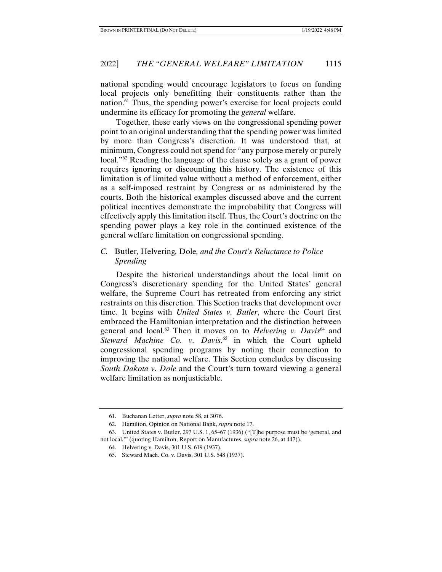national spending would encourage legislators to focus on funding local projects only benefitting their constituents rather than the nation.61 Thus, the spending power's exercise for local projects could undermine its efficacy for promoting the *general* welfare.

Together, these early views on the congressional spending power point to an original understanding that the spending power was limited by more than Congress's discretion. It was understood that, at minimum, Congress could not spend for "any purpose merely or purely local.<sup>"62</sup> Reading the language of the clause solely as a grant of power requires ignoring or discounting this history. The existence of this limitation is of limited value without a method of enforcement, either as a self-imposed restraint by Congress or as administered by the courts. Both the historical examples discussed above and the current political incentives demonstrate the improbability that Congress will effectively apply this limitation itself. Thus, the Court's doctrine on the spending power plays a key role in the continued existence of the general welfare limitation on congressional spending.

# *C.* Butler*,* Helvering*,* Dole*, and the Court's Reluctance to Police Spending*

Despite the historical understandings about the local limit on Congress's discretionary spending for the United States' general welfare, the Supreme Court has retreated from enforcing any strict restraints on this discretion. This Section tracks that development over time. It begins with *United States v. Butler*, where the Court first embraced the Hamiltonian interpretation and the distinction between general and local.<sup>63</sup> Then it moves on to *Helvering v. Davis*<sup>64</sup> and Steward Machine Co. v. Davis,<sup>65</sup> in which the Court upheld congressional spending programs by noting their connection to improving the national welfare. This Section concludes by discussing *South Dakota v. Dole* and the Court's turn toward viewing a general welfare limitation as nonjusticiable.

 <sup>61.</sup> Buchanan Letter, *supra* note 58, at 3076.

 <sup>62.</sup> Hamilton, Opinion on National Bank, *supra* note 17.

 <sup>63.</sup> United States v. Butler, 297 U.S. 1, 65–67 (1936) ("[T]he purpose must be 'general, and not local.'" (quoting Hamilton, Report on Manufactures, *supra* note 26, at 447)).

 <sup>64.</sup> Helvering v. Davis, 301 U.S. 619 (1937).

 <sup>65.</sup> Steward Mach. Co. v. Davis, 301 U.S. 548 (1937).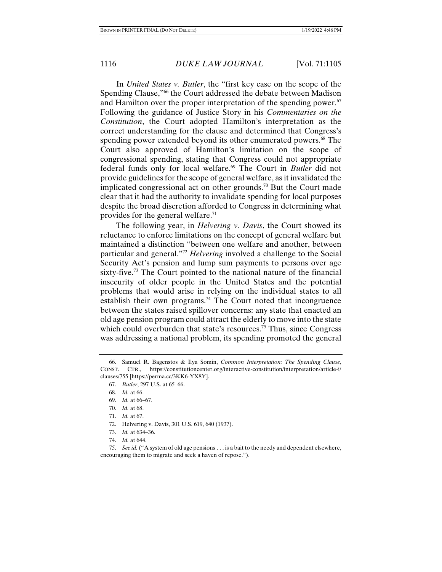In *United States v. Butler*, the "first key case on the scope of the Spending Clause,"66 the Court addressed the debate between Madison and Hamilton over the proper interpretation of the spending power.<sup>67</sup> Following the guidance of Justice Story in his *Commentaries on the Constitution*, the Court adopted Hamilton's interpretation as the correct understanding for the clause and determined that Congress's spending power extended beyond its other enumerated powers.<sup>68</sup> The Court also approved of Hamilton's limitation on the scope of congressional spending, stating that Congress could not appropriate federal funds only for local welfare.69 The Court in *Butler* did not provide guidelines for the scope of general welfare, as it invalidated the implicated congressional act on other grounds.<sup>70</sup> But the Court made clear that it had the authority to invalidate spending for local purposes despite the broad discretion afforded to Congress in determining what provides for the general welfare.71

The following year, in *Helvering v. Davis*, the Court showed its reluctance to enforce limitations on the concept of general welfare but maintained a distinction "between one welfare and another, between particular and general."72 *Helvering* involved a challenge to the Social Security Act's pension and lump sum payments to persons over age sixty-five.<sup>73</sup> The Court pointed to the national nature of the financial insecurity of older people in the United States and the potential problems that would arise in relying on the individual states to all establish their own programs.<sup>74</sup> The Court noted that incongruence between the states raised spillover concerns: any state that enacted an old age pension program could attract the elderly to move into the state which could overburden that state's resources.<sup>75</sup> Thus, since Congress was addressing a national problem, its spending promoted the general

74. *Id.* at 644.

 <sup>66.</sup> Samuel R. Bagenstos & Ilya Somin, *Common Interpretation: The Spending Clause*, CONST. CTR., https://constitutioncenter.org/interactive-constitution/interpretation/article-i/ clauses/755 [https://perma.cc/3KK6-YX8Y].

 <sup>67.</sup> *Butler*, 297 U.S. at 65–66.

 <sup>68.</sup> *Id.* at 66.

 <sup>69.</sup> *Id.* at 66–67.

 <sup>70.</sup> *Id.* at 68.

 <sup>71.</sup> *Id.* at 67.

 <sup>72.</sup> Helvering v. Davis, 301 U.S. 619, 640 (1937).

 <sup>73.</sup> *Id.* at 634–36.

 <sup>75.</sup> *See id.* ("A system of old age pensions . . . is a bait to the needy and dependent elsewhere, encouraging them to migrate and seek a haven of repose.").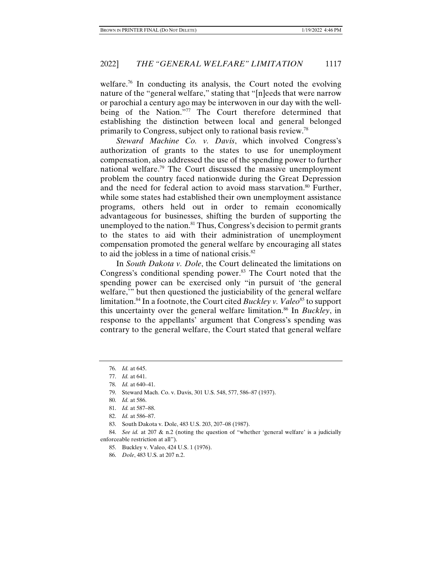welfare.<sup>76</sup> In conducting its analysis, the Court noted the evolving nature of the "general welfare," stating that "[n]eeds that were narrow or parochial a century ago may be interwoven in our day with the wellbeing of the Nation."<sup>77</sup> The Court therefore determined that establishing the distinction between local and general belonged primarily to Congress, subject only to rational basis review.78

*Steward Machine Co. v. Davis*, which involved Congress's authorization of grants to the states to use for unemployment compensation, also addressed the use of the spending power to further national welfare.<sup>79</sup> The Court discussed the massive unemployment problem the country faced nationwide during the Great Depression and the need for federal action to avoid mass starvation.<sup>80</sup> Further, while some states had established their own unemployment assistance programs, others held out in order to remain economically advantageous for businesses, shifting the burden of supporting the unemployed to the nation.<sup>81</sup> Thus, Congress's decision to permit grants to the states to aid with their administration of unemployment compensation promoted the general welfare by encouraging all states to aid the jobless in a time of national crisis. $82$ 

In *South Dakota v. Dole*, the Court delineated the limitations on Congress's conditional spending power.<sup>83</sup> The Court noted that the spending power can be exercised only "in pursuit of 'the general welfare,'" but then questioned the justiciability of the general welfare limitation.<sup>84</sup> In a footnote, the Court cited *Buckley v. Valeo*<sup>85</sup> to support this uncertainty over the general welfare limitation.86 In *Buckley*, in response to the appellants' argument that Congress's spending was contrary to the general welfare, the Court stated that general welfare

83. South Dakota v. Dole, 483 U.S. 203, 207–08 (1987).

 <sup>76.</sup> *Id.* at 645.

 <sup>77.</sup> *Id.* at 641.

 <sup>78.</sup> *Id.* at 640–41.

 <sup>79.</sup> Steward Mach. Co. v. Davis, 301 U.S. 548, 577, 586–87 (1937).

 <sup>80.</sup> *Id.* at 586.

 <sup>81.</sup> *Id.* at 587–88.

 <sup>82.</sup> *Id.* at 586–87.

 <sup>84.</sup> *See id.* at 207 & n.2 (noting the question of "whether 'general welfare' is a judicially enforceable restriction at all").

 <sup>85.</sup> Buckley v. Valeo, 424 U.S. 1 (1976).

 <sup>86.</sup> *Dole*, 483 U.S. at 207 n.2.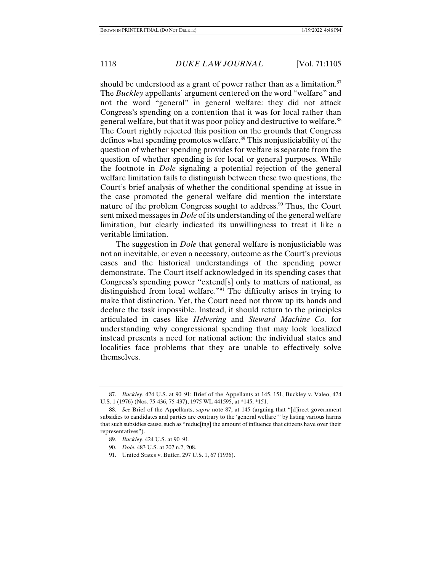should be understood as a grant of power rather than as a limitation.<sup>87</sup> The *Buckley* appellants' argument centered on the word "welfare" and not the word "general" in general welfare: they did not attack Congress's spending on a contention that it was for local rather than general welfare, but that it was poor policy and destructive to welfare.<sup>88</sup> The Court rightly rejected this position on the grounds that Congress defines what spending promotes welfare.<sup>89</sup> This nonjusticiability of the question of whether spending provides for welfare is separate from the question of whether spending is for local or general purposes. While the footnote in *Dole* signaling a potential rejection of the general welfare limitation fails to distinguish between these two questions, the Court's brief analysis of whether the conditional spending at issue in the case promoted the general welfare did mention the interstate nature of the problem Congress sought to address.<sup>90</sup> Thus, the Court sent mixed messages in *Dole* of its understanding of the general welfare limitation, but clearly indicated its unwillingness to treat it like a veritable limitation.

The suggestion in *Dole* that general welfare is nonjusticiable was not an inevitable, or even a necessary, outcome as the Court's previous cases and the historical understandings of the spending power demonstrate. The Court itself acknowledged in its spending cases that Congress's spending power "extend[s] only to matters of national, as distinguished from local welfare."91 The difficulty arises in trying to make that distinction. Yet, the Court need not throw up its hands and declare the task impossible. Instead, it should return to the principles articulated in cases like *Helvering* and *Steward Machine Co.* for understanding why congressional spending that may look localized instead presents a need for national action: the individual states and localities face problems that they are unable to effectively solve themselves.

 <sup>87.</sup> *Buckley*, 424 U.S. at 90–91; Brief of the Appellants at 145, 151, Buckley v. Valeo, 424 U.S. 1 (1976) (Nos. 75-436, 75-437), 1975 WL 441595, at \*145, \*151.

 <sup>88.</sup> *See* Brief of the Appellants, *supra* note 87, at 145 (arguing that "[d]irect government subsidies to candidates and parties are contrary to the 'general welfare'" by listing various harms that such subsidies cause, such as "reduc[ing] the amount of influence that citizens have over their representatives").

 <sup>89.</sup> *Buckley*, 424 U.S. at 90–91.

 <sup>90.</sup> *Dole*, 483 U.S. at 207 n.2, 208.

 <sup>91.</sup> United States v. Butler, 297 U.S. 1, 67 (1936).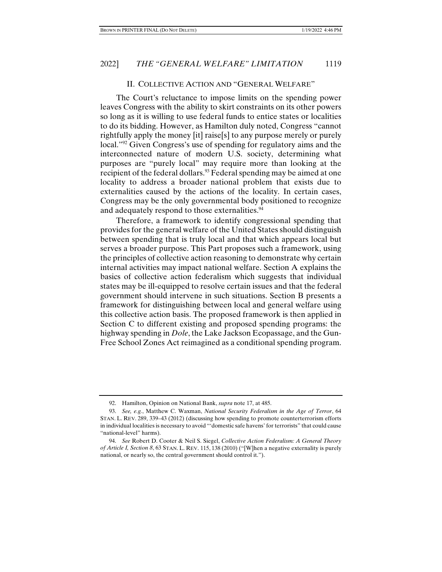#### II. COLLECTIVE ACTION AND "GENERAL WELFARE"

The Court's reluctance to impose limits on the spending power leaves Congress with the ability to skirt constraints on its other powers so long as it is willing to use federal funds to entice states or localities to do its bidding. However, as Hamilton duly noted, Congress "cannot rightfully apply the money [it] raise[s] to any purpose merely or purely local."<sup>92</sup> Given Congress's use of spending for regulatory aims and the interconnected nature of modern U.S. society, determining what purposes are "purely local" may require more than looking at the recipient of the federal dollars.<sup>93</sup> Federal spending may be aimed at one locality to address a broader national problem that exists due to externalities caused by the actions of the locality. In certain cases, Congress may be the only governmental body positioned to recognize and adequately respond to those externalities.<sup>94</sup>

Therefore, a framework to identify congressional spending that provides for the general welfare of the United States should distinguish between spending that is truly local and that which appears local but serves a broader purpose. This Part proposes such a framework, using the principles of collective action reasoning to demonstrate why certain internal activities may impact national welfare. Section A explains the basics of collective action federalism which suggests that individual states may be ill-equipped to resolve certain issues and that the federal government should intervene in such situations. Section B presents a framework for distinguishing between local and general welfare using this collective action basis. The proposed framework is then applied in Section C to different existing and proposed spending programs: the highway spending in *Dole*, the Lake Jackson Ecopassage, and the Gun-Free School Zones Act reimagined as a conditional spending program.

 <sup>92.</sup> Hamilton, Opinion on National Bank, *supra* note 17, at 485.

 <sup>93.</sup> *See, e.g.*, Matthew C. Waxman, *National Security Federalism in the Age of Terror*, 64 STAN. L. REV. 289, 339–43 (2012) (discussing how spending to promote counterterrorism efforts in individual localities is necessary to avoid "'domestic safe havens' for terrorists" that could cause "national-level" harms).

 <sup>94.</sup> *See* Robert D. Cooter & Neil S. Siegel, *Collective Action Federalism: A General Theory of Article I, Section 8*, 63 STAN. L. REV. 115, 138 (2010) ("[W]hen a negative externality is purely national, or nearly so, the central government should control it.").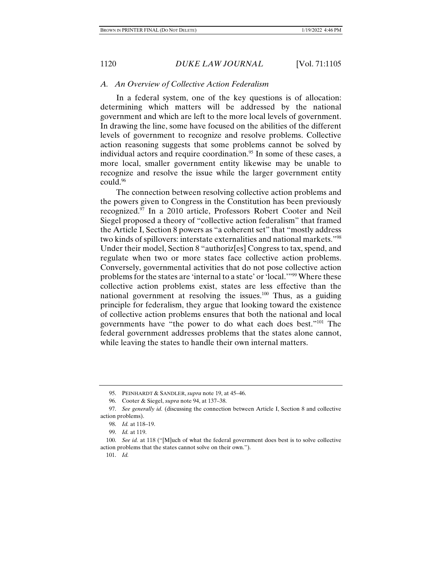## *A. An Overview of Collective Action Federalism*

In a federal system, one of the key questions is of allocation: determining which matters will be addressed by the national government and which are left to the more local levels of government. In drawing the line, some have focused on the abilities of the different levels of government to recognize and resolve problems. Collective action reasoning suggests that some problems cannot be solved by individual actors and require coordination.<sup>95</sup> In some of these cases, a more local, smaller government entity likewise may be unable to recognize and resolve the issue while the larger government entity could.96

The connection between resolving collective action problems and the powers given to Congress in the Constitution has been previously recognized.97 In a 2010 article, Professors Robert Cooter and Neil Siegel proposed a theory of "collective action federalism" that framed the Article I, Section 8 powers as "a coherent set" that "mostly address two kinds of spillovers: interstate externalities and national markets."98 Under their model, Section 8 "authoriz[es] Congress to tax, spend, and regulate when two or more states face collective action problems. Conversely, governmental activities that do not pose collective action problems for the states are 'internal to a state' or 'local.'"99 Where these collective action problems exist, states are less effective than the national government at resolving the issues.100 Thus, as a guiding principle for federalism, they argue that looking toward the existence of collective action problems ensures that both the national and local governments have "the power to do what each does best."101 The federal government addresses problems that the states alone cannot, while leaving the states to handle their own internal matters.

 <sup>95.</sup> PEINHARDT & SANDLER, *supra* note 19, at 45–46.

 <sup>96.</sup> Cooter & Siegel, *supra* note 94, at 137–38.

 <sup>97.</sup> *See generally id.* (discussing the connection between Article I, Section 8 and collective action problems).

 <sup>98.</sup> *Id.* at 118–19.

 <sup>99.</sup> *Id.* at 119.

 <sup>100.</sup> *See id.* at 118 ("[M]uch of what the federal government does best is to solve collective action problems that the states cannot solve on their own.").

 <sup>101.</sup> *Id.*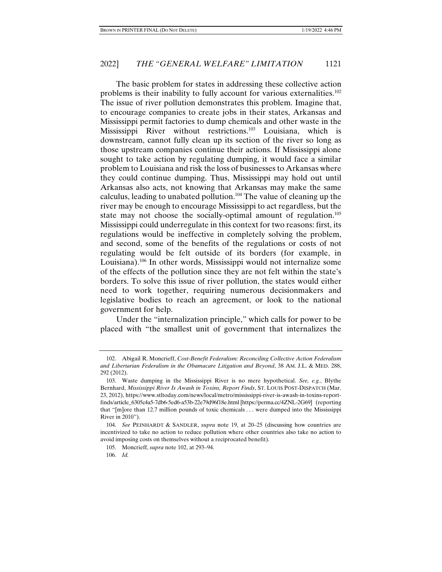The basic problem for states in addressing these collective action problems is their inability to fully account for various externalities.102 The issue of river pollution demonstrates this problem. Imagine that, to encourage companies to create jobs in their states, Arkansas and Mississippi permit factories to dump chemicals and other waste in the Mississippi River without restrictions.103 Louisiana, which is downstream, cannot fully clean up its section of the river so long as those upstream companies continue their actions. If Mississippi alone sought to take action by regulating dumping, it would face a similar problem to Louisiana and risk the loss of businesses to Arkansas where they could continue dumping. Thus, Mississippi may hold out until Arkansas also acts, not knowing that Arkansas may make the same calculus, leading to unabated pollution.104 The value of cleaning up the river may be enough to encourage Mississippi to act regardless, but the state may not choose the socially-optimal amount of regulation.<sup>105</sup> Mississippi could underregulate in this context for two reasons: first, its regulations would be ineffective in completely solving the problem, and second, some of the benefits of the regulations or costs of not regulating would be felt outside of its borders (for example, in Louisiana).<sup>106</sup> In other words, Mississippi would not internalize some of the effects of the pollution since they are not felt within the state's borders. To solve this issue of river pollution, the states would either need to work together, requiring numerous decisionmakers and legislative bodies to reach an agreement, or look to the national government for help.

Under the "internalization principle," which calls for power to be placed with "the smallest unit of government that internalizes the

 <sup>102.</sup> Abigail R. Moncrieff, *Cost-Benefit Federalism: Reconciling Collective Action Federalism and Libertarian Federalism in the Obamacare Litigation and Beyond*, 38 AM. J.L. & MED. 288, 292 (2012).

 <sup>103.</sup> Waste dumping in the Mississippi River is no mere hypothetical. *See, e.g.*, Blythe Bernhard, *Mississippi River Is Awash in Toxins, Report Finds*, ST. LOUIS POST-DISPATCH (Mar. 23, 2012), https://www.stltoday.com/news/local/metro/mississippi-river-is-awash-in-toxins-reportfinds/article\_6305c4a5-7db6-5ed6-a53b-22e79d96f18e.html [https://perma.cc/4ZNL-2G69] (reporting that "[m]ore than 12.7 million pounds of toxic chemicals . . . were dumped into the Mississippi River in 2010").

 <sup>104.</sup> *See* PEINHARDT & SANDLER, *supra* note 19, at 20–25 (discussing how countries are incentivized to take no action to reduce pollution where other countries also take no action to avoid imposing costs on themselves without a reciprocated benefit).

 <sup>105.</sup> Moncrieff, *supra* note 102, at 293–94.

 <sup>106.</sup> *Id.*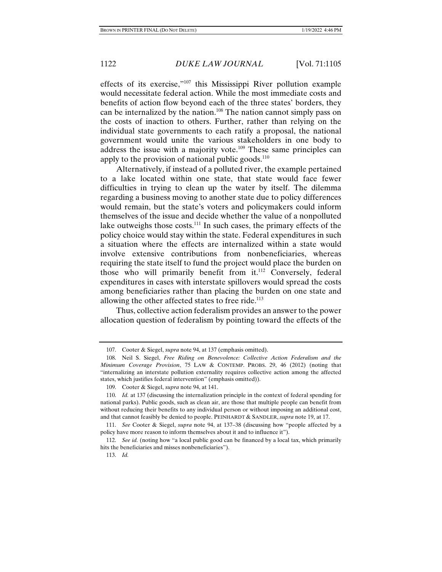effects of its exercise,"107 this Mississippi River pollution example would necessitate federal action. While the most immediate costs and benefits of action flow beyond each of the three states' borders, they can be internalized by the nation.<sup>108</sup> The nation cannot simply pass on the costs of inaction to others. Further, rather than relying on the individual state governments to each ratify a proposal, the national government would unite the various stakeholders in one body to address the issue with a majority vote.<sup>109</sup> These same principles can apply to the provision of national public goods. $110$ 

Alternatively, if instead of a polluted river, the example pertained to a lake located within one state, that state would face fewer difficulties in trying to clean up the water by itself. The dilemma regarding a business moving to another state due to policy differences would remain, but the state's voters and policymakers could inform themselves of the issue and decide whether the value of a nonpolluted lake outweighs those costs.<sup>111</sup> In such cases, the primary effects of the policy choice would stay within the state. Federal expenditures in such a situation where the effects are internalized within a state would involve extensive contributions from nonbeneficiaries, whereas requiring the state itself to fund the project would place the burden on those who will primarily benefit from it.<sup>112</sup> Conversely, federal expenditures in cases with interstate spillovers would spread the costs among beneficiaries rather than placing the burden on one state and allowing the other affected states to free ride.<sup>113</sup>

Thus, collective action federalism provides an answer to the power allocation question of federalism by pointing toward the effects of the

 <sup>107.</sup> Cooter & Siegel, *supra* note 94, at 137 (emphasis omitted).

 <sup>108.</sup> Neil S. Siegel, *Free Riding on Benevolence: Collective Action Federalism and the Minimum Coverage Provision*, 75 LAW & CONTEMP. PROBS. 29, 46 (2012) (noting that "internalizing an interstate pollution externality requires collective action among the affected states, which justifies federal intervention" (emphasis omitted)).

 <sup>109.</sup> Cooter & Siegel, *supra* note 94, at 141.

 <sup>110.</sup> *Id.* at 137 (discussing the internalization principle in the context of federal spending for national parks). Public goods, such as clean air, are those that multiple people can benefit from without reducing their benefits to any individual person or without imposing an additional cost, and that cannot feasibly be denied to people. PEINHARDT & SANDLER, *supra* note 19, at 17.

 <sup>111.</sup> *See* Cooter & Siegel, *supra* note 94, at 137–38 (discussing how "people affected by a policy have more reason to inform themselves about it and to influence it").

 <sup>112.</sup> *See id.* (noting how "a local public good can be financed by a local tax, which primarily hits the beneficiaries and misses nonbeneficiaries").

 <sup>113.</sup> *Id.*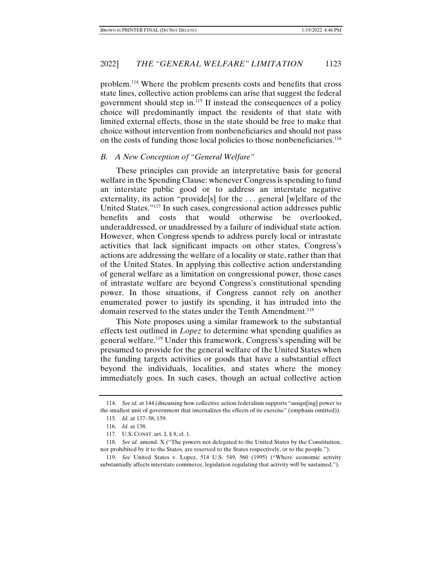problem.114 Where the problem presents costs and benefits that cross state lines, collective action problems can arise that suggest the federal government should step in.115 If instead the consequences of a policy choice will predominantly impact the residents of that state with limited external effects, those in the state should be free to make that choice without intervention from nonbeneficiaries and should not pass on the costs of funding those local policies to those nonbeneficiaries.<sup>116</sup>

## *B. A New Conception of "General Welfare"*

These principles can provide an interpretative basis for general welfare in the Spending Clause: whenever Congress is spending to fund an interstate public good or to address an interstate negative externality, its action "provide<sup>[s]</sup> for the ... general [w]elfare of the United States."117 In such cases, congressional action addresses public benefits and costs that would otherwise be overlooked, underaddressed, or unaddressed by a failure of individual state action. However, when Congress spends to address purely local or intrastate activities that lack significant impacts on other states, Congress's actions are addressing the welfare of a locality or state, rather than that of the United States. In applying this collective action understanding of general welfare as a limitation on congressional power, those cases of intrastate welfare are beyond Congress's constitutional spending power. In those situations, if Congress cannot rely on another enumerated power to justify its spending, it has intruded into the domain reserved to the states under the Tenth Amendment.<sup>118</sup>

This Note proposes using a similar framework to the substantial effects test outlined in *Lopez* to determine what spending qualifies as general welfare.119 Under this framework, Congress's spending will be presumed to provide for the general welfare of the United States when the funding targets activities or goods that have a substantial effect beyond the individuals, localities, and states where the money immediately goes. In such cases, though an actual collective action

 <sup>114.</sup> *See id.* at 144 (discussing how collective action federalism supports "assign[ing] power to the smallest unit of government that internalizes the effects of its exercise" (emphasis omitted)).

 <sup>115.</sup> *Id.* at 137–38, 159.

 <sup>116.</sup> *Id.* at 138.

 <sup>117.</sup> U.S. CONST. art. I, § 8, cl. 1.

 <sup>118.</sup> *See id.* amend. X ("The powers not delegated to the United States by the Constitution, nor prohibited by it to the States, are reserved to the States respectively, or to the people.").

 <sup>119.</sup> *See* United States v. Lopez, 514 U.S. 549, 560 (1995) ("Where economic activity substantially affects interstate commerce, legislation regulating that activity will be sustained.").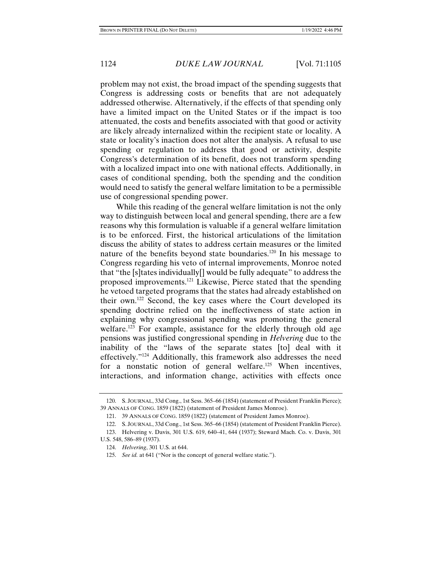problem may not exist, the broad impact of the spending suggests that Congress is addressing costs or benefits that are not adequately addressed otherwise. Alternatively, if the effects of that spending only have a limited impact on the United States or if the impact is too attenuated, the costs and benefits associated with that good or activity are likely already internalized within the recipient state or locality. A state or locality's inaction does not alter the analysis. A refusal to use spending or regulation to address that good or activity, despite Congress's determination of its benefit, does not transform spending with a localized impact into one with national effects. Additionally, in cases of conditional spending, both the spending and the condition would need to satisfy the general welfare limitation to be a permissible use of congressional spending power.

While this reading of the general welfare limitation is not the only way to distinguish between local and general spending, there are a few reasons why this formulation is valuable if a general welfare limitation is to be enforced. First, the historical articulations of the limitation discuss the ability of states to address certain measures or the limited nature of the benefits beyond state boundaries.<sup>120</sup> In his message to Congress regarding his veto of internal improvements, Monroe noted that "the [s]tates individually[] would be fully adequate" to address the proposed improvements.121 Likewise, Pierce stated that the spending he vetoed targeted programs that the states had already established on their own.122 Second, the key cases where the Court developed its spending doctrine relied on the ineffectiveness of state action in explaining why congressional spending was promoting the general welfare.<sup>123</sup> For example, assistance for the elderly through old age pensions was justified congressional spending in *Helvering* due to the inability of the "laws of the separate states [to] deal with it effectively."124 Additionally, this framework also addresses the need for a nonstatic notion of general welfare.<sup>125</sup> When incentives, interactions, and information change, activities with effects once

 <sup>120.</sup> S. JOURNAL, 33d Cong., 1st Sess. 365–66 (1854) (statement of President Franklin Pierce); 39 ANNALS OF CONG. 1859 (1822) (statement of President James Monroe).

 <sup>121. 39</sup> ANNALS OF CONG. 1859 (1822) (statement of President James Monroe).

 <sup>122.</sup> S. JOURNAL, 33d Cong., 1st Sess. 365–66 (1854) (statement of President Franklin Pierce).

 <sup>123.</sup> Helvering v. Davis, 301 U.S. 619, 640–41, 644 (1937); Steward Mach. Co. v. Davis, 301 U.S. 548, 586–89 (1937).

 <sup>124.</sup> *Helvering*, 301 U.S. at 644.

 <sup>125.</sup> *See id.* at 641 ("Nor is the concept of general welfare static.").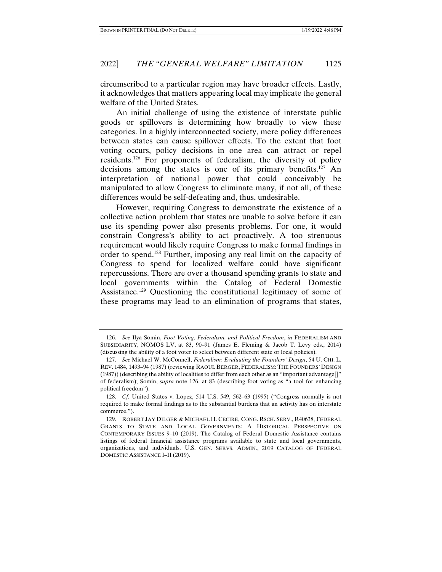circumscribed to a particular region may have broader effects. Lastly, it acknowledges that matters appearing local may implicate the general welfare of the United States.

An initial challenge of using the existence of interstate public goods or spillovers is determining how broadly to view these categories. In a highly interconnected society, mere policy differences between states can cause spillover effects. To the extent that foot voting occurs, policy decisions in one area can attract or repel residents.126 For proponents of federalism, the diversity of policy decisions among the states is one of its primary benefits.<sup>127</sup> An interpretation of national power that could conceivably be manipulated to allow Congress to eliminate many, if not all, of these differences would be self-defeating and, thus, undesirable.

However, requiring Congress to demonstrate the existence of a collective action problem that states are unable to solve before it can use its spending power also presents problems. For one, it would constrain Congress's ability to act proactively. A too strenuous requirement would likely require Congress to make formal findings in order to spend.128 Further, imposing any real limit on the capacity of Congress to spend for localized welfare could have significant repercussions. There are over a thousand spending grants to state and local governments within the Catalog of Federal Domestic Assistance.<sup>129</sup> Questioning the constitutional legitimacy of some of these programs may lead to an elimination of programs that states,

 <sup>126.</sup> *See* Ilya Somin, *Foot Voting, Federalism, and Political Freedom*, *in* FEDERALISM AND SUBSIDIARITY, NOMOS LV, at 83, 90–91 (James E. Fleming & Jacob T. Levy eds., 2014) (discussing the ability of a foot voter to select between different state or local policies).

 <sup>127.</sup> *See* Michael W. McConnell, *Federalism: Evaluating the Founders' Design*, 54 U. CHI. L. REV. 1484, 1493–94 (1987) (reviewing RAOUL BERGER, FEDERALISM: THE FOUNDERS' DESIGN (1987)) (describing the ability of localities to differ from each other as an "important advantage[]" of federalism); Somin, *supra* note 126, at 83 (describing foot voting as "a tool for enhancing political freedom").

 <sup>128.</sup> *Cf.* United States v. Lopez, 514 U.S. 549, 562–63 (1995) ("Congress normally is not required to make formal findings as to the substantial burdens that an activity has on interstate commerce.").

 <sup>129.</sup> ROBERT JAY DILGER & MICHAEL H. CECIRE, CONG. RSCH. SERV., R40638, FEDERAL GRANTS TO STATE AND LOCAL GOVERNMENTS: A HISTORICAL PERSPECTIVE ON CONTEMPORARY ISSUES 9–10 (2019). The Catalog of Federal Domestic Assistance contains listings of federal financial assistance programs available to state and local governments, organizations, and individuals. U.S. GEN. SERVS. ADMIN., 2019 CATALOG OF FEDERAL DOMESTIC ASSISTANCE I–II (2019).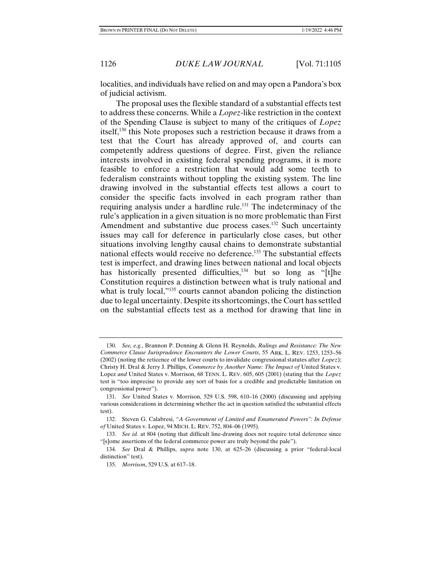localities, and individuals have relied on and may open a Pandora's box of judicial activism.

The proposal uses the flexible standard of a substantial effects test to address these concerns. While a *Lopez*-like restriction in the context of the Spending Clause is subject to many of the critiques of *Lopez*  itself,130 this Note proposes such a restriction because it draws from a test that the Court has already approved of, and courts can competently address questions of degree. First, given the reliance interests involved in existing federal spending programs, it is more feasible to enforce a restriction that would add some teeth to federalism constraints without toppling the existing system. The line drawing involved in the substantial effects test allows a court to consider the specific facts involved in each program rather than requiring analysis under a hardline rule.131 The indeterminacy of the rule's application in a given situation is no more problematic than First Amendment and substantive due process cases.<sup>132</sup> Such uncertainty issues may call for deference in particularly close cases, but other situations involving lengthy causal chains to demonstrate substantial national effects would receive no deference.<sup>133</sup> The substantial effects test is imperfect, and drawing lines between national and local objects has historically presented difficulties,  $134$  but so long as "[t]he Constitution requires a distinction between what is truly national and what is truly local,"<sup>135</sup> courts cannot abandon policing the distinction due to legal uncertainty. Despite its shortcomings, the Court has settled on the substantial effects test as a method for drawing that line in

 <sup>130.</sup> *See, e.g.*, Brannon P. Denning & Glenn H. Reynolds, *Rulings and Resistance: The New Commerce Clause Jurisprudence Encounters the Lower Courts*, 55 ARK. L. REV. 1253, 1253–56 (2002) (noting the reticence of the lower courts to invalidate congressional statutes after *Lopez*); Christy H. Dral & Jerry J. Phillips, *Commerce by Another Name: The Impact of* United States v. Lopez *and* United States v. Morrison, 68 TENN. L. REV. 605, 605 (2001) (stating that the *Lopez*  test is "too imprecise to provide any sort of basis for a credible and predictable limitation on congressional power").

 <sup>131.</sup> *See* United States v. Morrison, 529 U.S. 598, 610–16 (2000) (discussing and applying various considerations in determining whether the act in question satisfied the substantial effects test).

 <sup>132.</sup> Steven G. Calabresi, *"A Government of Limited and Enumerated Powers": In Defense of* United States v. Lopez, 94 MICH. L. REV. 752, 804–06 (1995).

 <sup>133.</sup> *See id.* at 804 (noting that difficult line-drawing does not require total deference since "[s]ome assertions of the federal commerce power are truly beyond the pale").

 <sup>134.</sup> *See* Dral & Phillips, *supra* note 130, at 625–26 (discussing a prior "federal-local distinction" test).

 <sup>135.</sup> *Morrison*, 529 U.S. at 617–18.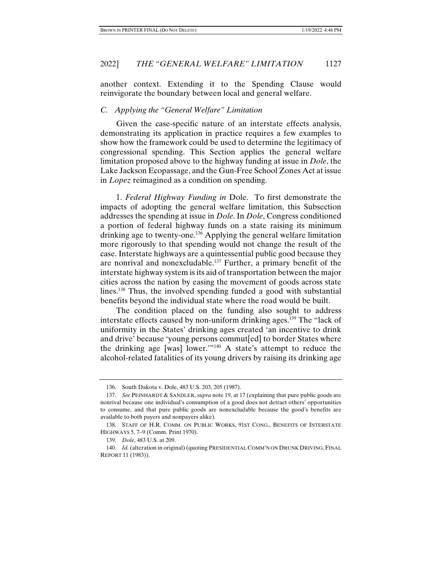another context. Extending it to the Spending Clause would reinvigorate the boundary between local and general welfare.

#### *C. Applying the "General Welfare" Limitation*

Given the case-specific nature of an interstate effects analysis, demonstrating its application in practice requires a few examples to show how the framework could be used to determine the legitimacy of congressional spending. This Section applies the general welfare limitation proposed above to the highway funding at issue in *Dole*, the Lake Jackson Ecopassage, and the Gun-Free School Zones Act at issue in *Lopez* reimagined as a condition on spending.

1. *Federal Highway Funding in* Dole. To first demonstrate the impacts of adopting the general welfare limitation, this Subsection addresses the spending at issue in *Dole*. In *Dole*, Congress conditioned a portion of federal highway funds on a state raising its minimum drinking age to twenty-one.136 Applying the general welfare limitation more rigorously to that spending would not change the result of the case. Interstate highways are a quintessential public good because they are nonrival and nonexcludable.137 Further, a primary benefit of the interstate highway system is its aid of transportation between the major cities across the nation by easing the movement of goods across state lines.<sup>138</sup> Thus, the involved spending funded a good with substantial benefits beyond the individual state where the road would be built.

The condition placed on the funding also sought to address interstate effects caused by non-uniform drinking ages.<sup>139</sup> The "lack of uniformity in the States' drinking ages created 'an incentive to drink and drive' because 'young persons commut[ed] to border States where the drinking age [was] lower.'"140 A state's attempt to reduce the alcohol-related fatalities of its young drivers by raising its drinking age

 <sup>136.</sup> South Dakota v. Dole, 483 U.S. 203, 205 (1987).

 <sup>137.</sup> *See* PEINHARDT & SANDLER, *supra* note 19, at 17 (explaining that pure public goods are nonrival because one individual's consumption of a good does not detract others' opportunities to consume, and that pure public goods are nonexcludable because the good's benefits are available to both payers and nonpayers alike).

 <sup>138.</sup> STAFF OF H.R. COMM. ON PUBLIC WORKS, 91ST CONG., BENEFITS OF INTERSTATE HIGHWAYS 5, 7–9 (Comm. Print 1970).

 <sup>139.</sup> *Dole*, 483 U.S. at 209.

 <sup>140.</sup> *Id.* (alteration in original) (quoting PRESIDENTIAL COMM'N ON DRUNK DRIVING, FINAL REPORT 11 (1983)).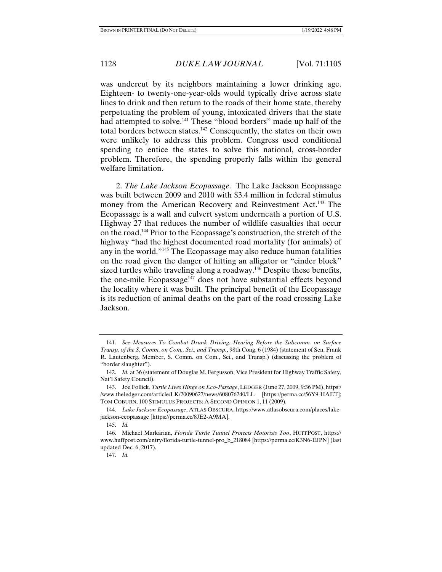was undercut by its neighbors maintaining a lower drinking age. Eighteen- to twenty-one-year-olds would typically drive across state lines to drink and then return to the roads of their home state, thereby perpetuating the problem of young, intoxicated drivers that the state had attempted to solve.<sup>141</sup> These "blood borders" made up half of the total borders between states.142 Consequently, the states on their own were unlikely to address this problem. Congress used conditional spending to entice the states to solve this national, cross-border problem. Therefore, the spending properly falls within the general welfare limitation.

2. *The Lake Jackson Ecopassage*. The Lake Jackson Ecopassage was built between 2009 and 2010 with \$3.4 million in federal stimulus money from the American Recovery and Reinvestment Act.<sup>143</sup> The Ecopassage is a wall and culvert system underneath a portion of U.S. Highway 27 that reduces the number of wildlife casualties that occur on the road.144 Prior to the Ecopassage's construction, the stretch of the highway "had the highest documented road mortality (for animals) of any in the world."145 The Ecopassage may also reduce human fatalities on the road given the danger of hitting an alligator or "cinder block" sized turtles while traveling along a roadway.<sup>146</sup> Despite these benefits, the one-mile Ecopassage<sup>147</sup> does not have substantial effects beyond the locality where it was built. The principal benefit of the Ecopassage is its reduction of animal deaths on the part of the road crossing Lake Jackson.

 <sup>141.</sup> *See Measures To Combat Drunk Driving: Hearing Before the Subcomm. on Surface Transp. of the S. Comm. on Com., Sci., and Transp.*, 98th Cong. 6 (1984) (statement of Sen. Frank R. Lautenberg, Member, S. Comm. on Com., Sci., and Transp.) (discussing the problem of "border slaughter").

 <sup>142.</sup> *Id.* at 36 (statement of Douglas M. Fergusson, Vice President for Highway Traffic Safety, Nat'l Safety Council).

 <sup>143.</sup> Joe Follick, *Turtle Lives Hinge on Eco-Passage*, LEDGER (June 27, 2009, 9:36 PM), https:/ /www.theledger.com/article/LK/20090627/news/608076240/LL [https://perma.cc/56Y9-HAET]; TOM COBURN, 100 STIMULUS PROJECTS: A SECOND OPINION 1, 11 (2009).

 <sup>144.</sup> *Lake Jackson Ecopassage*, ATLAS OBSCURA, https://www.atlasobscura.com/places/lakejackson-ecopassage [https://perma.cc/8JE2-A9MA].

 <sup>145.</sup> *Id.*

 <sup>146.</sup> Michael Markarian, *Florida Turtle Tunnel Protects Motorists Too*, HUFFPOST, https:// www.huffpost.com/entry/florida-turtle-tunnel-pro\_b\_218084 [https://perma.cc/K3N6-EJPN] (last updated Dec. 6, 2017).

 <sup>147.</sup> *Id.*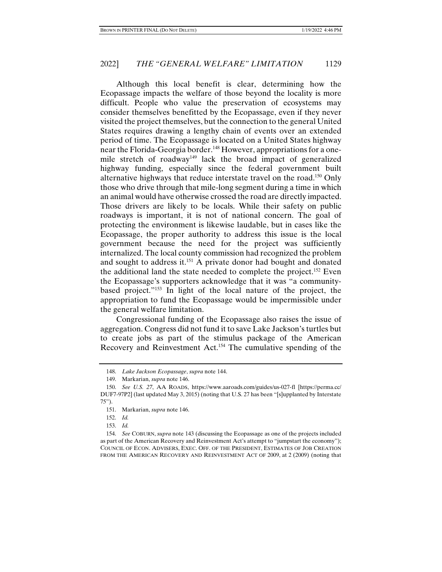Although this local benefit is clear, determining how the Ecopassage impacts the welfare of those beyond the locality is more difficult. People who value the preservation of ecosystems may consider themselves benefitted by the Ecopassage, even if they never visited the project themselves, but the connection to the general United States requires drawing a lengthy chain of events over an extended period of time. The Ecopassage is located on a United States highway near the Florida-Georgia border.<sup>148</sup> However, appropriations for a onemile stretch of roadway<sup>149</sup> lack the broad impact of generalized highway funding, especially since the federal government built alternative highways that reduce interstate travel on the road.150 Only those who drive through that mile-long segment during a time in which an animal would have otherwise crossed the road are directly impacted. Those drivers are likely to be locals. While their safety on public roadways is important, it is not of national concern. The goal of protecting the environment is likewise laudable, but in cases like the Ecopassage, the proper authority to address this issue is the local government because the need for the project was sufficiently internalized. The local county commission had recognized the problem and sought to address it.<sup>151</sup> A private donor had bought and donated the additional land the state needed to complete the project.<sup>152</sup> Even the Ecopassage's supporters acknowledge that it was "a communitybased project."153 In light of the local nature of the project, the appropriation to fund the Ecopassage would be impermissible under the general welfare limitation.

Congressional funding of the Ecopassage also raises the issue of aggregation. Congress did not fund it to save Lake Jackson's turtles but to create jobs as part of the stimulus package of the American Recovery and Reinvestment Act.154 The cumulative spending of the

 <sup>148.</sup> *Lake Jackson Ecopassage*, *supra* note 144.

 <sup>149.</sup> Markarian, *supra* note 146.

 <sup>150.</sup> *See U.S. 27*, AA ROADS, https://www.aaroads.com/guides/us-027-fl [https://perma.cc/ DUF7-97P2] (last updated May 3, 2015) (noting that U.S. 27 has been "[s]upplanted by Interstate 75").

 <sup>151.</sup> Markarian, *supra* note 146.

 <sup>152.</sup> *Id.*

 <sup>153.</sup> *Id.*

 <sup>154.</sup> *See* COBURN, *supra* note 143 (discussing the Ecopassage as one of the projects included as part of the American Recovery and Reinvestment Act's attempt to "jumpstart the economy"); COUNCIL OF ECON. ADVISERS, EXEC. OFF. OF THE PRESIDENT, ESTIMATES OF JOB CREATION FROM THE AMERICAN RECOVERY AND REINVESTMENT ACT OF 2009, at 2 (2009) (noting that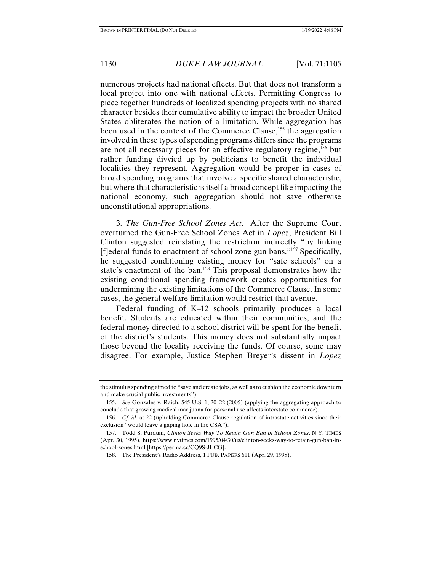numerous projects had national effects. But that does not transform a local project into one with national effects. Permitting Congress to piece together hundreds of localized spending projects with no shared character besides their cumulative ability to impact the broader United States obliterates the notion of a limitation. While aggregation has been used in the context of the Commerce Clause,<sup>155</sup> the aggregation involved in these types of spending programs differs since the programs are not all necessary pieces for an effective regulatory regime,156 but rather funding divvied up by politicians to benefit the individual localities they represent. Aggregation would be proper in cases of broad spending programs that involve a specific shared characteristic, but where that characteristic is itself a broad concept like impacting the national economy, such aggregation should not save otherwise unconstitutional appropriations.

3. *The Gun-Free School Zones Act*. After the Supreme Court overturned the Gun-Free School Zones Act in *Lopez*, President Bill Clinton suggested reinstating the restriction indirectly "by linking [f]ederal funds to enactment of school-zone gun bans."157 Specifically, he suggested conditioning existing money for "safe schools" on a state's enactment of the ban.<sup>158</sup> This proposal demonstrates how the existing conditional spending framework creates opportunities for undermining the existing limitations of the Commerce Clause. In some cases, the general welfare limitation would restrict that avenue.

Federal funding of K–12 schools primarily produces a local benefit. Students are educated within their communities, and the federal money directed to a school district will be spent for the benefit of the district's students. This money does not substantially impact those beyond the locality receiving the funds. Of course, some may disagree. For example, Justice Stephen Breyer's dissent in *Lopez* 

the stimulus spending aimed to "save and create jobs, as well as to cushion the economic downturn and make crucial public investments").

 <sup>155.</sup> *See* Gonzales v. Raich, 545 U.S. 1, 20–22 (2005) (applying the aggregating approach to conclude that growing medical marijuana for personal use affects interstate commerce).

 <sup>156.</sup> *Cf. id.* at 22 (upholding Commerce Clause regulation of intrastate activities since their exclusion "would leave a gaping hole in the CSA").

 <sup>157.</sup> Todd S. Purdum, *Clinton Seeks Way To Retain Gun Ban in School Zones*, N.Y. TIMES (Apr. 30, 1995), https://www.nytimes.com/1995/04/30/us/clinton-seeks-way-to-retain-gun-ban-inschool-zones.html [https://perma.cc/CQ9S-JLCG].

 <sup>158.</sup> The President's Radio Address, 1 PUB. PAPERS 611 (Apr. 29, 1995).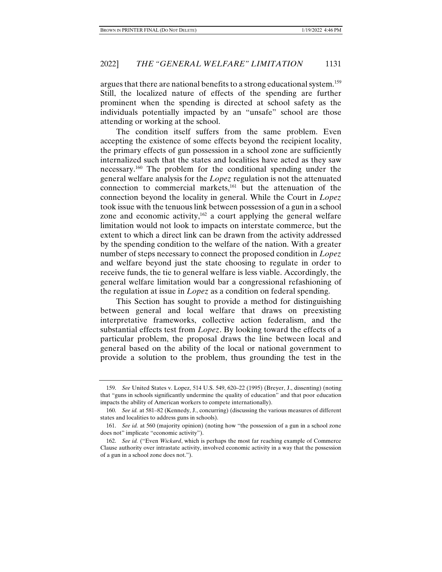argues that there are national benefits to a strong educational system.<sup>159</sup> Still, the localized nature of effects of the spending are further prominent when the spending is directed at school safety as the individuals potentially impacted by an "unsafe" school are those attending or working at the school.

The condition itself suffers from the same problem. Even accepting the existence of some effects beyond the recipient locality, the primary effects of gun possession in a school zone are sufficiently internalized such that the states and localities have acted as they saw necessary.160 The problem for the conditional spending under the general welfare analysis for the *Lopez* regulation is not the attenuated connection to commercial markets, $161$  but the attenuation of the connection beyond the locality in general. While the Court in *Lopez*  took issue with the tenuous link between possession of a gun in a school zone and economic activity,<sup>162</sup> a court applying the general welfare limitation would not look to impacts on interstate commerce, but the extent to which a direct link can be drawn from the activity addressed by the spending condition to the welfare of the nation. With a greater number of steps necessary to connect the proposed condition in *Lopez* and welfare beyond just the state choosing to regulate in order to receive funds, the tie to general welfare is less viable. Accordingly, the general welfare limitation would bar a congressional refashioning of the regulation at issue in *Lopez* as a condition on federal spending.

This Section has sought to provide a method for distinguishing between general and local welfare that draws on preexisting interpretative frameworks, collective action federalism, and the substantial effects test from *Lopez*. By looking toward the effects of a particular problem, the proposal draws the line between local and general based on the ability of the local or national government to provide a solution to the problem, thus grounding the test in the

 <sup>159.</sup> *See* United States v. Lopez, 514 U.S. 549, 620–22 (1995) (Breyer, J., dissenting) (noting that "guns in schools significantly undermine the quality of education" and that poor education impacts the ability of American workers to compete internationally).

 <sup>160.</sup> *See id.* at 581–82 (Kennedy, J., concurring) (discussing the various measures of different states and localities to address guns in schools).

 <sup>161.</sup> *See id.* at 560 (majority opinion) (noting how "the possession of a gun in a school zone does not" implicate "economic activity").

 <sup>162.</sup> *See id.* ("Even *Wickard*, which is perhaps the most far reaching example of Commerce Clause authority over intrastate activity, involved economic activity in a way that the possession of a gun in a school zone does not.").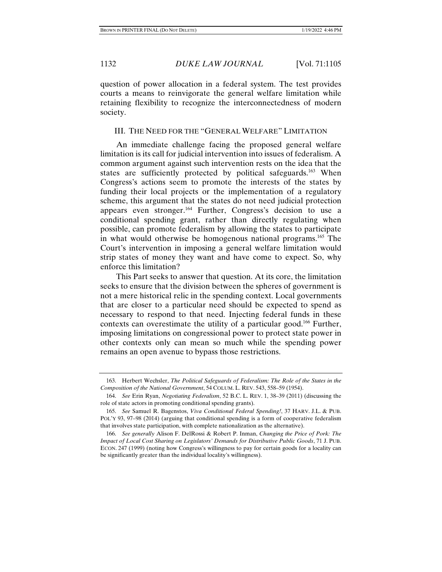question of power allocation in a federal system. The test provides courts a means to reinvigorate the general welfare limitation while retaining flexibility to recognize the interconnectedness of modern society.

# III. THE NEED FOR THE "GENERAL WELFARE" LIMITATION

An immediate challenge facing the proposed general welfare limitation is its call for judicial intervention into issues of federalism. A common argument against such intervention rests on the idea that the states are sufficiently protected by political safeguards.<sup>163</sup> When Congress's actions seem to promote the interests of the states by funding their local projects or the implementation of a regulatory scheme, this argument that the states do not need judicial protection appears even stronger.164 Further, Congress's decision to use a conditional spending grant, rather than directly regulating when possible, can promote federalism by allowing the states to participate in what would otherwise be homogenous national programs.<sup>165</sup> The Court's intervention in imposing a general welfare limitation would strip states of money they want and have come to expect. So, why enforce this limitation?

This Part seeks to answer that question. At its core, the limitation seeks to ensure that the division between the spheres of government is not a mere historical relic in the spending context. Local governments that are closer to a particular need should be expected to spend as necessary to respond to that need. Injecting federal funds in these contexts can overestimate the utility of a particular good.166 Further, imposing limitations on congressional power to protect state power in other contexts only can mean so much while the spending power remains an open avenue to bypass those restrictions.

 <sup>163.</sup> Herbert Wechsler, *The Political Safeguards of Federalism: The Role of the States in the Composition of the National Government*, 54 COLUM. L. REV. 543, 558–59 (1954).

 <sup>164.</sup> *See* Erin Ryan, *Negotiating Federalism*, 52 B.C. L. REV. 1, 38–39 (2011) (discussing the role of state actors in promoting conditional spending grants).

 <sup>165.</sup> *See* Samuel R. Bagenstos, *Viva Conditional Federal Spending!*, 37 HARV. J.L. & PUB. POL'Y 93, 97–98 (2014) (arguing that conditional spending is a form of cooperative federalism that involves state participation, with complete nationalization as the alternative).

 <sup>166.</sup> *See generally* Alison F. DelRossi & Robert P. Inman, *Changing the Price of Pork: The Impact of Local Cost Sharing on Legislators' Demands for Distributive Public Goods*, 71 J. PUB. ECON. 247 (1999) (noting how Congress's willingness to pay for certain goods for a locality can be significantly greater than the individual locality's willingness).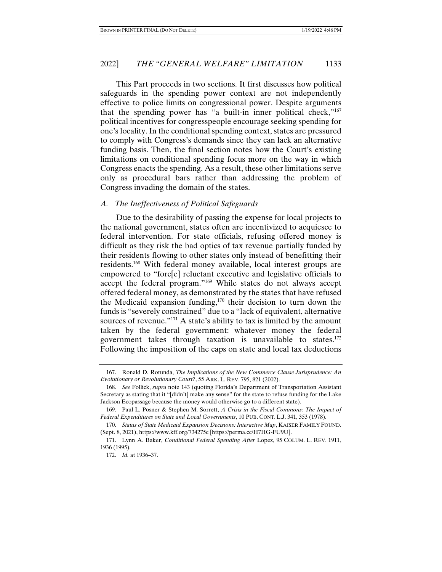This Part proceeds in two sections. It first discusses how political safeguards in the spending power context are not independently effective to police limits on congressional power. Despite arguments that the spending power has "a built-in inner political check,"167 political incentives for congresspeople encourage seeking spending for one's locality. In the conditional spending context, states are pressured to comply with Congress's demands since they can lack an alternative funding basis. Then, the final section notes how the Court's existing limitations on conditional spending focus more on the way in which Congress enacts the spending. As a result, these other limitations serve only as procedural bars rather than addressing the problem of Congress invading the domain of the states.

#### *A. The Ineffectiveness of Political Safeguards*

Due to the desirability of passing the expense for local projects to the national government, states often are incentivized to acquiesce to federal intervention. For state officials, refusing offered money is difficult as they risk the bad optics of tax revenue partially funded by their residents flowing to other states only instead of benefitting their residents.168 With federal money available, local interest groups are empowered to "forc[e] reluctant executive and legislative officials to accept the federal program."169 While states do not always accept offered federal money, as demonstrated by the states that have refused the Medicaid expansion funding,170 their decision to turn down the funds is "severely constrained" due to a "lack of equivalent, alternative sources of revenue."<sup>171</sup> A state's ability to tax is limited by the amount taken by the federal government: whatever money the federal government takes through taxation is unavailable to states. $172$ Following the imposition of the caps on state and local tax deductions

 <sup>167.</sup> Ronald D. Rotunda, *The Implications of the New Commerce Clause Jurisprudence: An Evolutionary or Revolutionary Court?*, 55 ARK. L. REV. 795, 821 (2002).

 <sup>168.</sup> *See* Follick, *supra* note 143 (quoting Florida's Department of Transportation Assistant Secretary as stating that it "[didn't] make any sense" for the state to refuse funding for the Lake Jackson Ecopassage because the money would otherwise go to a different state).

 <sup>169.</sup> Paul L. Posner & Stephen M. Sorrett, *A Crisis in the Fiscal Commons: The Impact of Federal Expenditures on State and Local Governments*, 10 PUB. CONT. L.J. 341, 353 (1978).

 <sup>170.</sup> *Status of State Medicaid Expansion Decisions: Interactive Map*, KAISER FAMILY FOUND. (Sept. 8, 2021), https://www.kff.org/734275c [https://perma.cc/H7HG-FU9U].

 <sup>171.</sup> Lynn A. Baker, *Conditional Federal Spending After* Lopez, 95 COLUM. L. REV. 1911, 1936 (1995).

 <sup>172.</sup> *Id.* at 1936–37.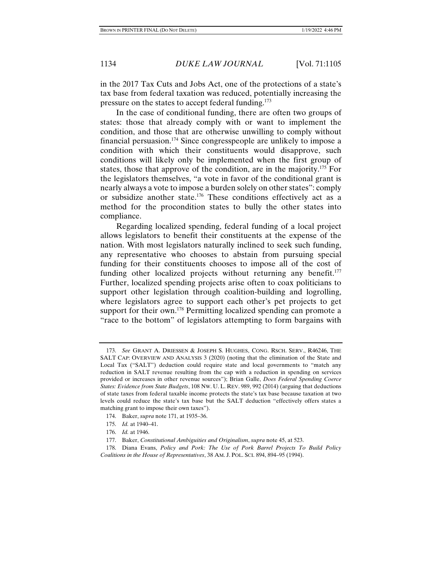in the 2017 Tax Cuts and Jobs Act, one of the protections of a state's tax base from federal taxation was reduced, potentially increasing the pressure on the states to accept federal funding.<sup>173</sup>

In the case of conditional funding, there are often two groups of states: those that already comply with or want to implement the condition, and those that are otherwise unwilling to comply without financial persuasion.174 Since congresspeople are unlikely to impose a condition with which their constituents would disapprove, such conditions will likely only be implemented when the first group of states, those that approve of the condition, are in the majority.175 For the legislators themselves, "a vote in favor of the conditional grant is nearly always a vote to impose a burden solely on other states": comply or subsidize another state.176 These conditions effectively act as a method for the procondition states to bully the other states into compliance.

Regarding localized spending, federal funding of a local project allows legislators to benefit their constituents at the expense of the nation. With most legislators naturally inclined to seek such funding, any representative who chooses to abstain from pursuing special funding for their constituents chooses to impose all of the cost of funding other localized projects without returning any benefit.<sup>177</sup> Further, localized spending projects arise often to coax politicians to support other legislation through coalition-building and logrolling, where legislators agree to support each other's pet projects to get support for their own.<sup>178</sup> Permitting localized spending can promote a "race to the bottom" of legislators attempting to form bargains with

 <sup>173.</sup> *See* GRANT A. DRIESSEN & JOSEPH S. HUGHES, CONG. RSCH. SERV., R46246, THE SALT CAP: OVERVIEW AND ANALYSIS 3 (2020) (noting that the elimination of the State and Local Tax ("SALT") deduction could require state and local governments to "match any reduction in SALT revenue resulting from the cap with a reduction in spending on services provided or increases in other revenue sources"); Brian Galle, *Does Federal Spending Coerce States: Evidence from State Budgets*, 108 NW. U. L. REV. 989, 992 (2014) (arguing that deductions of state taxes from federal taxable income protects the state's tax base because taxation at two levels could reduce the state's tax base but the SALT deduction "effectively offers states a matching grant to impose their own taxes").

 <sup>174.</sup> Baker, *supra* note 171, at 1935–36.

 <sup>175.</sup> *Id.* at 1940–41.

 <sup>176.</sup> *Id.* at 1946.

 <sup>177.</sup> Baker, *Constitutional Ambiguities and Originalism*, *supra* note 45, at 523.

 <sup>178.</sup> Diana Evans, *Policy and Pork: The Use of Pork Barrel Projects To Build Policy Coalitions in the House of Representatives*, 38 AM. J. POL. SCI. 894, 894–95 (1994).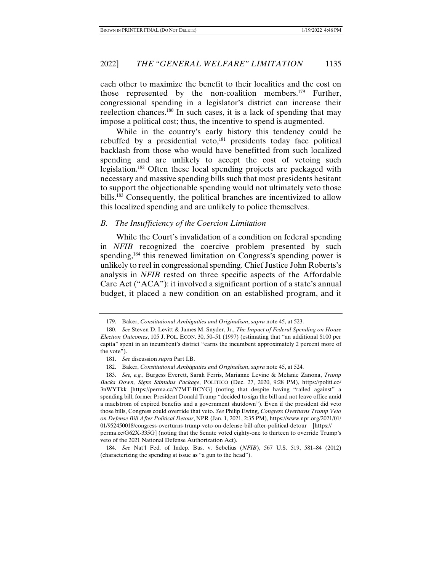each other to maximize the benefit to their localities and the cost on those represented by the non-coalition members.179 Further, congressional spending in a legislator's district can increase their reelection chances.180 In such cases, it is a lack of spending that may impose a political cost; thus, the incentive to spend is augmented.

While in the country's early history this tendency could be rebuffed by a presidential veto, $181$  presidents today face political backlash from those who would have benefitted from such localized spending and are unlikely to accept the cost of vetoing such legislation.182 Often these local spending projects are packaged with necessary and massive spending bills such that most presidents hesitant to support the objectionable spending would not ultimately veto those bills.183 Consequently, the political branches are incentivized to allow this localized spending and are unlikely to police themselves.

#### *B. The Insufficiency of the Coercion Limitation*

While the Court's invalidation of a condition on federal spending in *NFIB* recognized the coercive problem presented by such spending,<sup>184</sup> this renewed limitation on Congress's spending power is unlikely to reel in congressional spending. Chief Justice John Roberts's analysis in *NFIB* rested on three specific aspects of the Affordable Care Act ("ACA"): it involved a significant portion of a state's annual budget, it placed a new condition on an established program, and it

 <sup>179.</sup> Baker, *Constitutional Ambiguities and Originalism*, *supra* note 45, at 523.

 <sup>180.</sup> *See* Steven D. Levitt & James M. Snyder, Jr., *The Impact of Federal Spending on House Election Outcomes*, 105 J. POL. ECON. 30, 50–51 (1997) (estimating that "an additional \$100 per capita" spent in an incumbent's district "earns the incumbent approximately 2 percent more of the vote").

 <sup>181.</sup> *See* discussion *supra* Part I.B.

 <sup>182.</sup> Baker, *Constitutional Ambiguities and Originalism*, *supra* note 45, at 524.

 <sup>183.</sup> *See, e.g.*, Burgess Everett, Sarah Ferris, Marianne Levine & Melanie Zanona, *Trump Backs Down, Signs Stimulus Package*, POLITICO (Dec. 27, 2020, 9:28 PM), https://politi.co/ 3nWYTkk [https://perma.cc/Y7MT-BCYG] (noting that despite having "railed against" a spending bill, former President Donald Trump "decided to sign the bill and not leave office amid a maelstrom of expired benefits and a government shutdown"). Even if the president did veto those bills, Congress could override that veto. *See* Philip Ewing, *Congress Overturns Trump Veto on Defense Bill After Political Detour*, NPR (Jan. 1, 2021, 2:35 PM), https://www.npr.org/2021/01/ 01/952450018/congress-overturns-trump-veto-on-defense-bill-after-political-detour [https:// perma.cc/G62X-335G] (noting that the Senate voted eighty-one to thirteen to override Trump's veto of the 2021 National Defense Authorization Act).

 <sup>184.</sup> *See* Nat'l Fed. of Indep. Bus. v. Sebelius (*NFIB*), 567 U.S. 519, 581–84 (2012) (characterizing the spending at issue as "a gun to the head").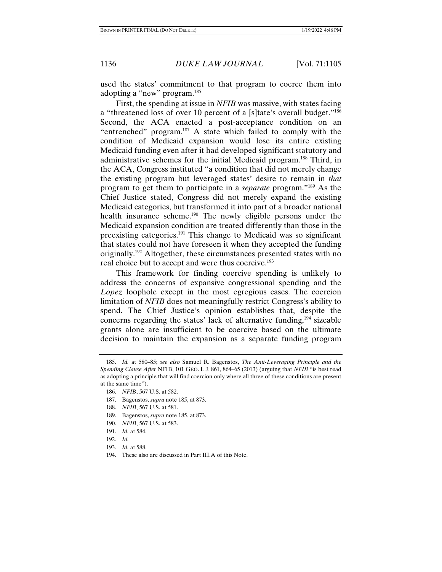used the states' commitment to that program to coerce them into adopting a "new" program.<sup>185</sup>

First, the spending at issue in *NFIB* was massive, with states facing a "threatened loss of over 10 percent of a [s]tate's overall budget."186 Second, the ACA enacted a post-acceptance condition on an "entrenched" program.187 A state which failed to comply with the condition of Medicaid expansion would lose its entire existing Medicaid funding even after it had developed significant statutory and administrative schemes for the initial Medicaid program.188 Third, in the ACA, Congress instituted "a condition that did not merely change the existing program but leveraged states' desire to remain in *that*  program to get them to participate in a *separate* program."189 As the Chief Justice stated, Congress did not merely expand the existing Medicaid categories, but transformed it into part of a broader national health insurance scheme.<sup>190</sup> The newly eligible persons under the Medicaid expansion condition are treated differently than those in the preexisting categories.191 This change to Medicaid was so significant that states could not have foreseen it when they accepted the funding originally.192 Altogether, these circumstances presented states with no real choice but to accept and were thus coercive.<sup>193</sup>

This framework for finding coercive spending is unlikely to address the concerns of expansive congressional spending and the *Lopez* loophole except in the most egregious cases. The coercion limitation of *NFIB* does not meaningfully restrict Congress's ability to spend. The Chief Justice's opinion establishes that, despite the concerns regarding the states' lack of alternative funding, $194$  sizeable grants alone are insufficient to be coercive based on the ultimate decision to maintain the expansion as a separate funding program

- 187. Bagenstos, *supra* note 185, at 873.
- 188. *NFIB*, 567 U.S. at 581.
- 189. Bagenstos, *supra* note 185, at 873.
- 190. *NFIB*, 567 U.S. at 583.
- 191. *Id.* at 584.
- 192. *Id.*
- 193. *Id.* at 588.
- 194. These also are discussed in Part III.A of this Note.

 <sup>185.</sup> *Id.* at 580–85; *see also* Samuel R. Bagenstos, *The Anti-Leveraging Principle and the Spending Clause After* NFIB, 101 GEO. L.J. 861, 864–65 (2013) (arguing that *NFIB* "is best read as adopting a principle that will find coercion only where all three of these conditions are present at the same time").

 <sup>186.</sup> *NFIB*, 567 U.S. at 582.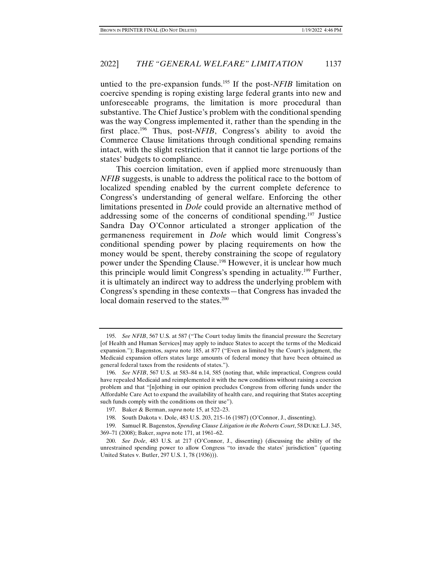untied to the pre-expansion funds.195 If the post-*NFIB* limitation on coercive spending is roping existing large federal grants into new and unforeseeable programs, the limitation is more procedural than substantive. The Chief Justice's problem with the conditional spending was the way Congress implemented it, rather than the spending in the first place.196 Thus, post-*NFIB*, Congress's ability to avoid the Commerce Clause limitations through conditional spending remains intact, with the slight restriction that it cannot tie large portions of the states' budgets to compliance.

This coercion limitation, even if applied more strenuously than *NFIB* suggests, is unable to address the political race to the bottom of localized spending enabled by the current complete deference to Congress's understanding of general welfare. Enforcing the other limitations presented in *Dole* could provide an alternative method of addressing some of the concerns of conditional spending.197 Justice Sandra Day O'Connor articulated a stronger application of the germaneness requirement in *Dole* which would limit Congress's conditional spending power by placing requirements on how the money would be spent, thereby constraining the scope of regulatory power under the Spending Clause.198 However, it is unclear how much this principle would limit Congress's spending in actuality.199 Further, it is ultimately an indirect way to address the underlying problem with Congress's spending in these contexts—that Congress has invaded the local domain reserved to the states.<sup>200</sup>

 <sup>195.</sup> *See NFIB*, 567 U.S. at 587 ("The Court today limits the financial pressure the Secretary [of Health and Human Services] may apply to induce States to accept the terms of the Medicaid expansion."); Bagenstos, *supra* note 185, at 877 ("Even as limited by the Court's judgment, the Medicaid expansion offers states large amounts of federal money that have been obtained as general federal taxes from the residents of states.").

 <sup>196.</sup> *See NFIB*, 567 U.S. at 583–84 n.14, 585 (noting that, while impractical, Congress could have repealed Medicaid and reimplemented it with the new conditions without raising a coercion problem and that "[n]othing in our opinion precludes Congress from offering funds under the Affordable Care Act to expand the availability of health care, and requiring that States accepting such funds comply with the conditions on their use").

 <sup>197.</sup> Baker & Berman, *supra* note 15, at 522–23.

 <sup>198.</sup> South Dakota v. Dole, 483 U.S. 203, 215–16 (1987) (O'Connor, J., dissenting).

 <sup>199.</sup> Samuel R. Bagenstos, *Spending Clause Litigation in the Roberts Court*, 58 DUKE L.J. 345, 369–71 (2008); Baker, *supra* note 171, at 1961–62.

 <sup>200.</sup> *See Dole*, 483 U.S. at 217 (O'Connor, J., dissenting) (discussing the ability of the unrestrained spending power to allow Congress "to invade the states' jurisdiction" (quoting United States v. Butler, 297 U.S. 1, 78 (1936))).